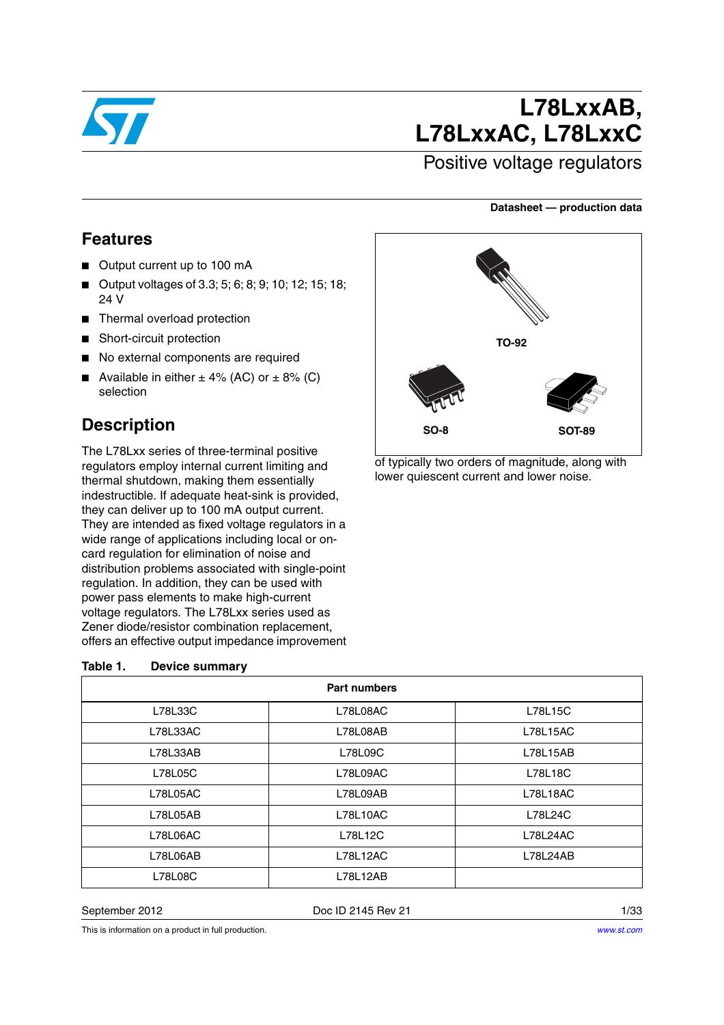

# **L78LxxAB, L78LxxAC, L78LxxC**

## Positive voltage regulators

#### **Datasheet — production data**

### **Features**

- Output current up to 100 mA
- Output voltages of 3.3; 5; 6; 8; 9; 10; 12; 15; 18; 24 V
- Thermal overload protection
- Short-circuit protection
- No external components are required
- Available in either  $± 4%$  (AC) or  $± 8%$  (C) selection

## **Description**

The L78Lxx series of three-terminal positive regulators employ internal current limiting and thermal shutdown, making them essentially indestructible. If adequate heat-sink is provided, they can deliver up to 100 mA output current. They are intended as fixed voltage regulators in a wide range of applications including local or oncard regulation for elimination of noise and distribution problems associated with single-point regulation. In addition, they can be used with power pass elements to make high-current voltage regulators. The L78Lxx series used as Zener diode/resistor combination replacement, offers an effective output impedance improvement

#### <span id="page-0-0"></span>**Table 1. Device summary**

|                 | <b>Part numbers</b> |                 |  |  |  |  |
|-----------------|---------------------|-----------------|--|--|--|--|
| L78L33C         | L78L08AC            | L78L15C         |  |  |  |  |
| <b>L78L33AC</b> | L78L08AB            | <b>L78L15AC</b> |  |  |  |  |
| L78L33AB        | L78L09C             | L78L15AB        |  |  |  |  |
| L78L05C         | L78L09AC            | L78L18C         |  |  |  |  |
| <b>L78L05AC</b> | L78L09AB            | <b>L78L18AC</b> |  |  |  |  |
| L78L05AB        | L78L10AC            | L78L24C         |  |  |  |  |
| <b>L78L06AC</b> | L78L12C             | <b>L78L24AC</b> |  |  |  |  |
| L78L06AB        | L78L12AC            | L78L24AB        |  |  |  |  |
| L78L08C         | L78L12AB            |                 |  |  |  |  |

September 2012 **Doc ID 2145 Rev 21** 2145 Rev 21

This is information on a product in full production.



of typically two orders of magnitude, along with lower quiescent current and lower noise.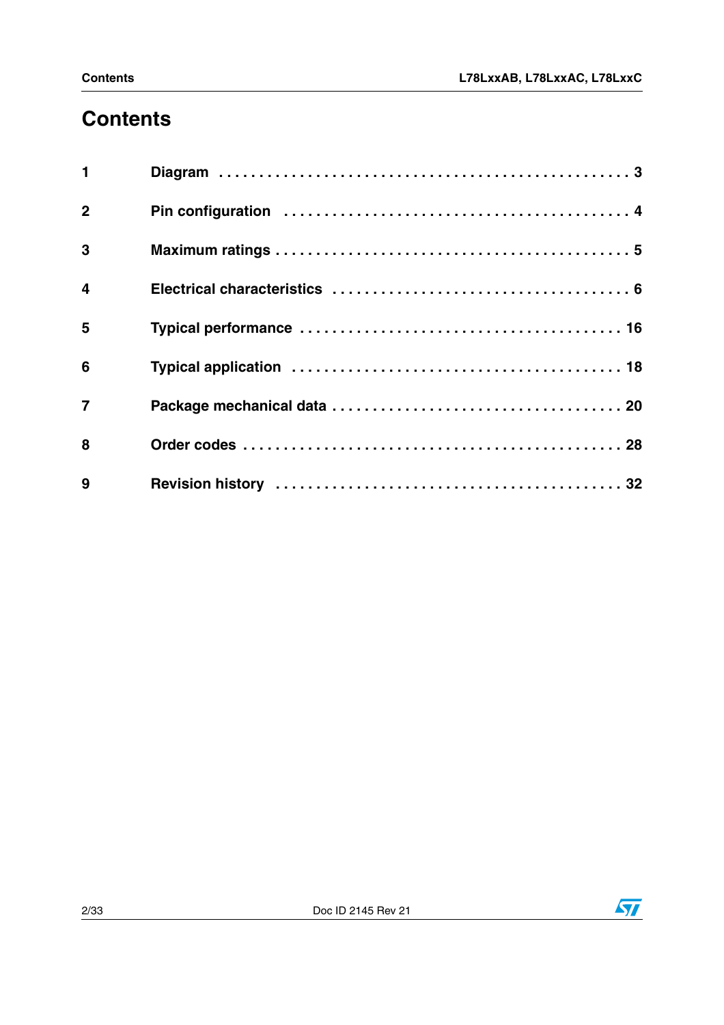# **Contents**

| $\mathbf{1}$            |  |
|-------------------------|--|
| $\overline{2}$          |  |
| $\overline{3}$          |  |
| $\overline{\mathbf{4}}$ |  |
| 5                       |  |
| 6                       |  |
| $\overline{7}$          |  |
| 8                       |  |
| 9                       |  |

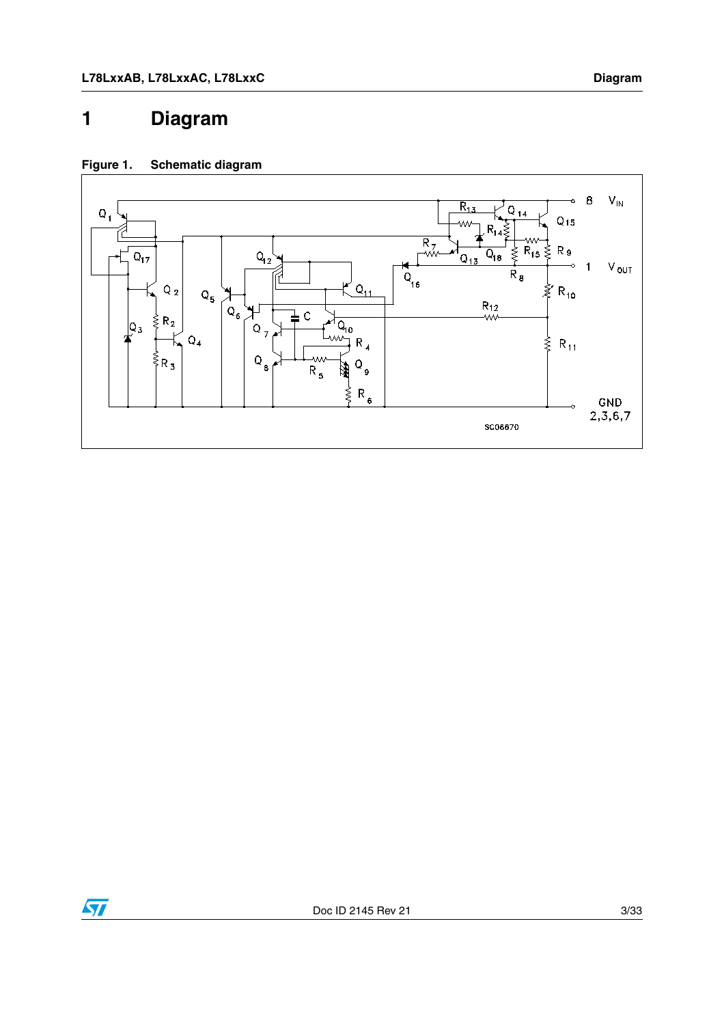## <span id="page-2-0"></span>**1 Diagram**

#### **Figure 1. Schematic diagram**



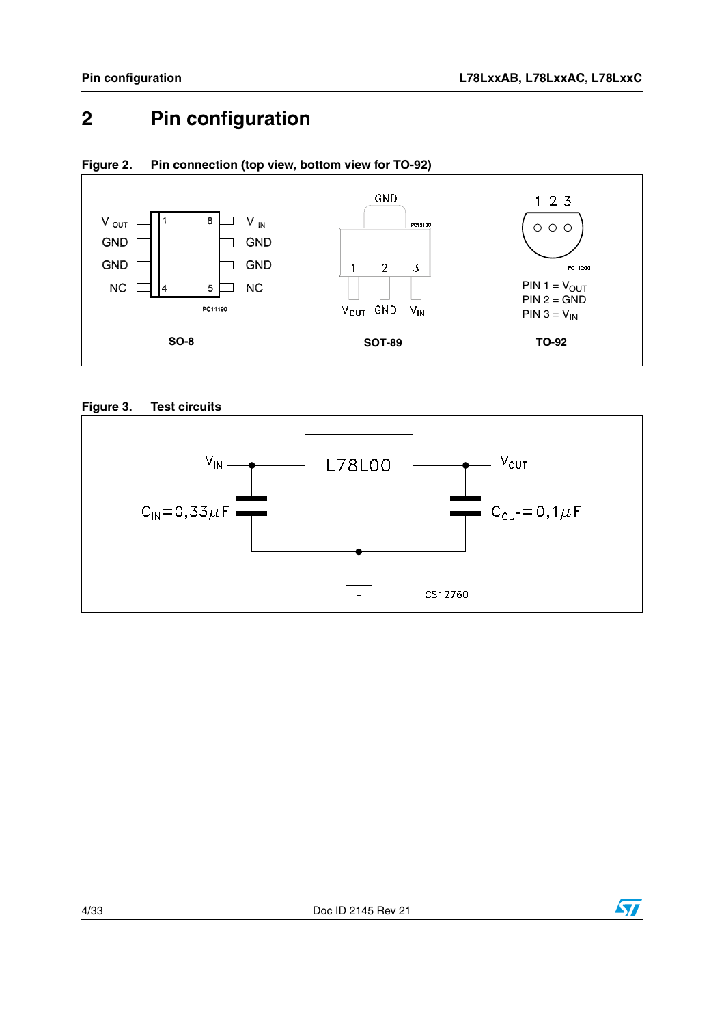## <span id="page-3-0"></span>**2 Pin configuration**



#### <span id="page-3-1"></span>**Figure 2. Pin connection (top view, bottom view for TO-92)**

**Figure 3. Test circuits**



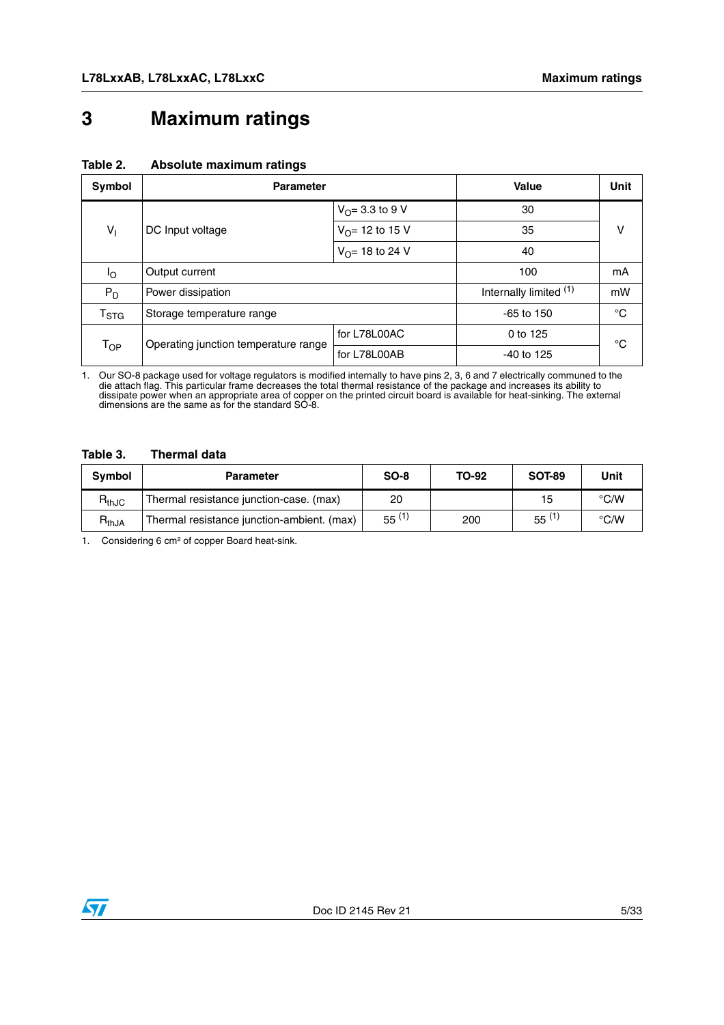## <span id="page-4-0"></span>**3 Maximum ratings**

<span id="page-4-2"></span>

| Symbol                      | <b>Parameter</b>                                                           | Value                     | Unit                   |             |  |
|-----------------------------|----------------------------------------------------------------------------|---------------------------|------------------------|-------------|--|
|                             |                                                                            | $V_{\Omega} = 3.3$ to 9 V | 30                     |             |  |
| $V_1$                       | $V_{\Omega}$ = 12 to 15 V<br>DC Input voltage<br>$V_{\Omega}$ = 18 to 24 V |                           | 35                     | v           |  |
|                             |                                                                            | 40                        |                        |             |  |
| Ιo                          | Output current                                                             |                           | 100                    | mA          |  |
| $P_D$                       | Power dissipation                                                          |                           | Internally limited (1) | mW          |  |
| $\mathsf{T}_{\textsf{STG}}$ | Storage temperature range                                                  |                           | $-65$ to 150           | $^{\circ}C$ |  |
|                             |                                                                            | for L78L00AC              | 0 to 125               | °C          |  |
| $\mathsf{T}_{\mathsf{OP}}$  | Operating junction temperature range                                       | for L78L00AB              | $-40$ to 125           |             |  |

1. Our SO-8 package used for voltage regulators is modified internally to have pins 2, 3, 6 and 7 electrically communed to the<br>die attach flag. This particular frame decreases the total thermal resistance of the package an dissipate power when an appropriate area of copper on the printed circuit board is available for heat-sinking. The external dimensions are the same as for the standard SO-8.

#### <span id="page-4-1"></span>**Table 3. Thermal data**

| <b>Symbol</b>                | <b>Parameter</b>                           | $SO-8$     | TO-92 | <b>SOT-89</b> | Unit          |
|------------------------------|--------------------------------------------|------------|-------|---------------|---------------|
| $\mathsf{R}_{\mathsf{thJC}}$ | Thermal resistance junction-case. (max)    | 20         |       | 15            | $\degree$ C/W |
| $R_{thJA}$                   | Thermal resistance junction-ambient. (max) | $55^{(1)}$ | 200   | $55^{(1)}$    | $\degree$ C/W |

1. Considering 6 cm² of copper Board heat-sink.

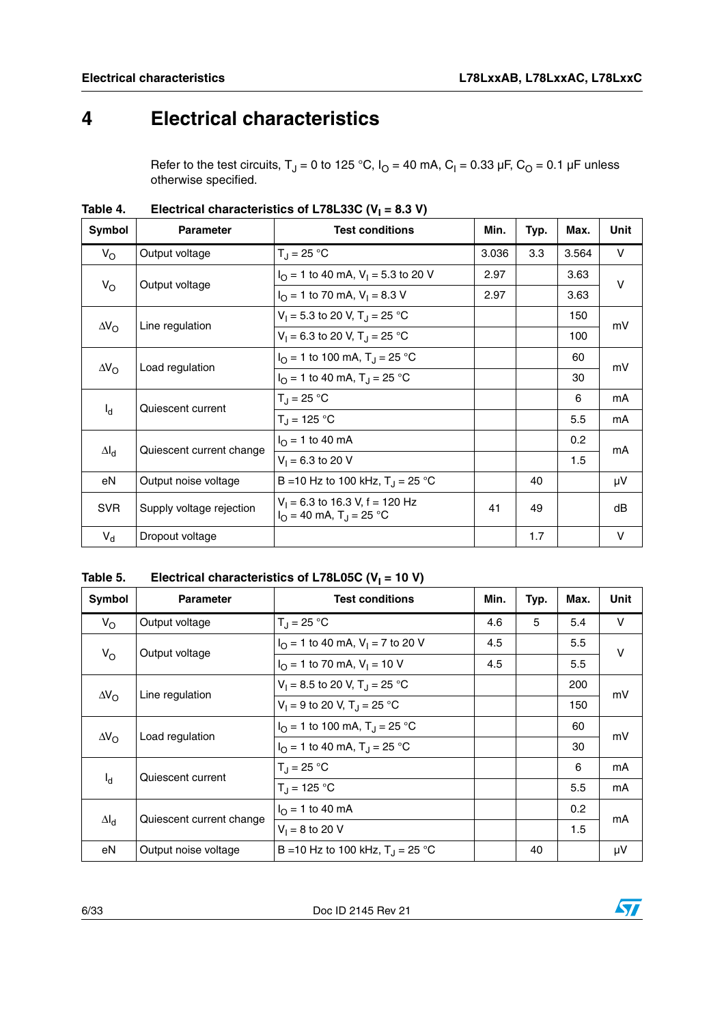## <span id="page-5-0"></span>**4 Electrical characteristics**

Refer to the test circuits, T<sub>J</sub> = 0 to 125 °C, I<sub>O</sub> = 40 mA, C<sub>I</sub> = 0.33 µF, C<sub>O</sub> = 0.1 µF unless otherwise specified.

| Symbol      | <b>Parameter</b>                         | <b>Test conditions</b>                                                            | Min.  | Typ. | Max.  | Unit   |
|-------------|------------------------------------------|-----------------------------------------------------------------------------------|-------|------|-------|--------|
| $V_{\rm O}$ | Output voltage                           | $T_{\rm J} = 25 \,^{\circ}\text{C}$                                               | 3.036 | 3.3  | 3.564 | V      |
|             |                                          | $I_{\Omega}$ = 1 to 40 mA, V <sub>1</sub> = 5.3 to 20 V                           | 2.97  |      | 3.63  | $\vee$ |
|             | $V_{\rm O}$<br>Output voltage            | $I_{\Omega}$ = 1 to 70 mA, V <sub>1</sub> = 8.3 V                                 | 2.97  |      | 3.63  |        |
|             | $\Delta V_{\rm O}$<br>Line regulation    | $V_1 = 5.3$ to 20 V, T <sub>J</sub> = 25 °C                                       |       |      | 150   | mV     |
|             |                                          | $V_1 = 6.3$ to 20 V, T <sub>J</sub> = 25 °C                                       |       |      | 100   |        |
|             | $\Delta V_{\rm O}$<br>Load regulation    | $I_{\Omega}$ = 1 to 100 mA, T <sub>J</sub> = 25 °C                                |       |      | 60    | mV     |
|             |                                          | $I_{\Omega}$ = 1 to 40 mA, T <sub>J</sub> = 25 °C                                 |       |      | 30    |        |
|             | Quiescent current                        | $T_{\rm J} = 25 \,^{\circ}\text{C}$                                               |       |      | 6     | mA     |
| $I_d$       |                                          | $T_{\rm J}$ = 125 °C                                                              |       |      | 5.5   | mA     |
|             |                                          | $I_{\Omega}$ = 1 to 40 mA                                                         |       |      | 0.2   | mA     |
|             | $\Delta I_d$<br>Quiescent current change | $V_1 = 6.3$ to 20 V                                                               |       |      | 1.5   |        |
| eN          | Output noise voltage                     | B = 10 Hz to 100 kHz, $T_{\rm J}$ = 25 °C                                         |       | 40   |       | μV     |
| <b>SVR</b>  | Supply voltage rejection                 | $V_1$ = 6.3 to 16.3 V, f = 120 Hz<br>$I_{\Omega}$ = 40 mA, T <sub>J</sub> = 25 °C | 41    | 49   |       | dB     |
| $V_{\rm d}$ | Dropout voltage                          |                                                                                   |       | 1.7  |       | $\vee$ |

Table 4. Electrical characteristics of L78L33C (V<sub>I</sub> = 8.3 V)

Table 5. Electrical characteristics of L78L05C (V<sub>I</sub> = 10 V)

| Symbol      | <b>Parameter</b>                         | <b>Test conditions</b>                                | Min. | Typ. | Max. | Unit   |
|-------------|------------------------------------------|-------------------------------------------------------|------|------|------|--------|
| $V_{\rm O}$ | Output voltage                           | $T_{\rm J} = 25 \,^{\circ}\text{C}$                   | 4.6  | 5    | 5.4  | V      |
|             |                                          | $I_{\Omega}$ = 1 to 40 mA, V <sub>1</sub> = 7 to 20 V | 4.5  |      | 5.5  | $\vee$ |
|             | $V_{\rm O}$<br>Output voltage            | $I_{\Omega}$ = 1 to 70 mA, $V_{\text{I}}$ = 10 V      | 4.5  |      | 5.5  |        |
|             | Line regulation<br>$\Delta V_{\rm O}$    | $V_1 = 8.5$ to 20 V, T <sub>J</sub> = 25 °C           |      |      | 200  | mV     |
|             |                                          | $V_1 = 9$ to 20 V, T <sub>J</sub> = 25 °C             |      |      | 150  |        |
|             | $\Delta V_{\rm O}$<br>Load regulation    | $I_{\Omega}$ = 1 to 100 mA, T <sub>J</sub> = 25 °C    |      |      | 60   | mV     |
|             |                                          | $I_{\Omega}$ = 1 to 40 mA, T <sub>J</sub> = 25 °C     |      |      | 30   |        |
|             |                                          | $T_J = 25 °C$                                         |      |      | 6    | mA     |
|             | Quiescent current<br>ıq.                 | $T_{\rm d}$ = 125 °C                                  |      |      | 5.5  | mA     |
|             | Quiescent current change<br>$\Delta I_d$ | $I_{\Omega}$ = 1 to 40 mA                             |      |      | 0.2  | mA     |
|             |                                          | $V_1 = 8$ to 20 V                                     |      |      | 1.5  |        |
| eN          | Output noise voltage                     | B = 10 Hz to 100 kHz, $T_1 = 25$ °C                   |      | 40   |      | μV     |

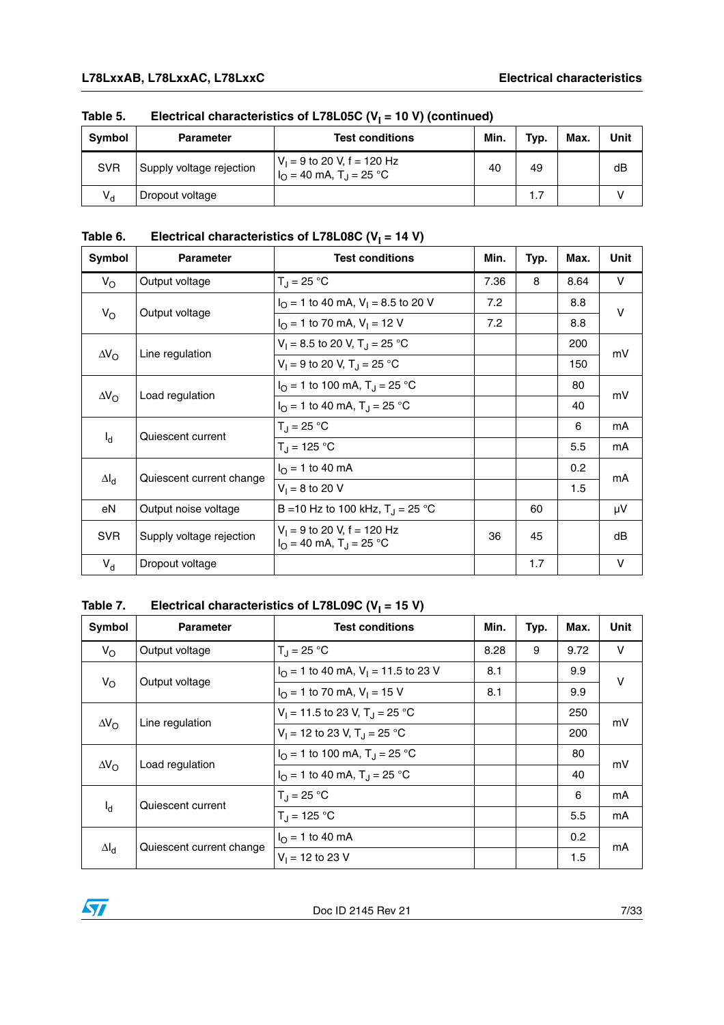| <b>Symbol</b> | <b>Parameter</b>         | <b>Test conditions</b>                                                | Min. | Typ. | Max. | Unit |
|---------------|--------------------------|-----------------------------------------------------------------------|------|------|------|------|
| <b>SVR</b>    | Supply voltage rejection | $V_1 = 9$ to 20 V, f = 120 Hz<br>$IO$ = 40 mA, T <sub>J</sub> = 25 °C | 40   | 49   |      | dB   |
| $V_{d}$       | Dropout voltage          |                                                                       |      | 1.7  |      |      |

### Table 5. Electrical characteristics of L78L05C (V<sub>I</sub> = 10 V) (continued)

### Table 6. Electrical characteristics of L78L08C (V<sub>I</sub> = 14 V)

| Symbol             | <b>Parameter</b>                                 | <b>Test conditions</b>                                                        | Min. | Typ. | Max. | <b>Unit</b> |
|--------------------|--------------------------------------------------|-------------------------------------------------------------------------------|------|------|------|-------------|
| $V_{\rm O}$        | Output voltage                                   | $T_{\rm J}$ = 25 °C                                                           | 7.36 | 8    | 8.64 | V           |
|                    | Output voltage                                   | $I_{\Omega}$ = 1 to 40 mA, V <sub>1</sub> = 8.5 to 20 V                       | 7.2  |      | 8.8  | $\vee$      |
| $V_{\rm O}$        | $I_{\Omega}$ = 1 to 70 mA, $V_{\text{I}}$ = 12 V | 7.2                                                                           |      | 8.8  |      |             |
|                    | Line regulation                                  | $V_1 = 8.5$ to 20 V, T <sub>J</sub> = 25 °C                                   |      |      | 200  | mV          |
| $\Delta V_{\rm O}$ |                                                  | $V_1 = 9$ to 20 V, T <sub>J</sub> = 25 °C                                     |      |      | 150  |             |
|                    |                                                  | $I_{\Omega}$ = 1 to 100 mA, T <sub>J</sub> = 25 °C                            |      |      | 80   | mV          |
| $\Delta V_{\rm O}$ | Load regulation                                  | $I_{\Omega}$ = 1 to 40 mA, T <sub>J</sub> = 25 °C                             |      |      | 40   |             |
|                    | Quiescent current                                | $T_{\rm J}$ = 25 °C                                                           |      |      | 6    | mA          |
| $I_d$              |                                                  | $T_{\rm J}$ = 125 °C                                                          |      |      | 5.5  | mA          |
|                    | Quiescent current change                         | $I_{\odot}$ = 1 to 40 mA                                                      |      |      | 0.2  | mA          |
| $\Delta I_d$       |                                                  | $V_1 = 8$ to 20 V                                                             |      |      | 1.5  |             |
| eN                 | Output noise voltage                             | B = 10 Hz to 100 kHz, $T_{\rm J}$ = 25 °C                                     |      | 60   |      | μV          |
| <b>SVR</b>         | Supply voltage rejection                         | $V_1 = 9$ to 20 V, f = 120 Hz<br>$I_{\Omega}$ = 40 mA, T <sub>J</sub> = 25 °C | 36   | 45   |      | dB          |
| $V_{d}$            | Dropout voltage                                  |                                                                               |      | 1.7  |      | $\vee$      |

### Table 7. Electrical characteristics of L78L09C (V<sub>I</sub> = 15 V)

| Symbol                                 | <b>Parameter</b>                                 | <b>Test conditions</b>                                   | Min. | Typ. | Max. | Unit |
|----------------------------------------|--------------------------------------------------|----------------------------------------------------------|------|------|------|------|
| $V_{\rm O}$                            | Output voltage                                   | $T_{\rm J} = 25 \,^{\circ}C$                             | 8.28 | 9    | 9.72 | V    |
|                                        |                                                  | $I_{\Omega}$ = 1 to 40 mA, V <sub>1</sub> = 11.5 to 23 V | 8.1  |      | 9.9  | v    |
| $V_{\rm O}$<br>Output voltage          | $I_{\Omega}$ = 1 to 70 mA, $V_{\text{I}}$ = 15 V | 8.1                                                      |      | 9.9  |      |      |
|                                        |                                                  | $V_1 = 11.5$ to 23 V, T <sub>.1</sub> = 25 °C            |      |      | 250  | mV   |
| Line regulation<br>$\Delta V_{\Omega}$ | $V_1 = 12$ to 23 V, T <sub>J</sub> = 25 °C       |                                                          |      | 200  |      |      |
|                                        | Load regulation<br>$\Delta V_{\rm O}$            | $I_{\Omega}$ = 1 to 100 mA, T <sub>J</sub> = 25 °C       |      |      | 80   | mV   |
|                                        |                                                  | $I_{\Omega}$ = 1 to 40 mA, T <sub>J</sub> = 25 °C        |      |      | 40   |      |
|                                        | Quiescent current                                | $T_{\rm J} = 25 \,^{\circ}C$                             |      |      | 6    | mA   |
|                                        | $I_{d}$                                          | $T_{\rm d}$ = 125 °C                                     |      |      | 5.5  | mA   |
|                                        |                                                  | $I_{\Omega}$ = 1 to 40 mA                                |      |      | 0.2  |      |
| $\Delta I_d$                           | Quiescent current change                         | $V_1 = 12$ to 23 V                                       |      |      | 1.5  | mA   |

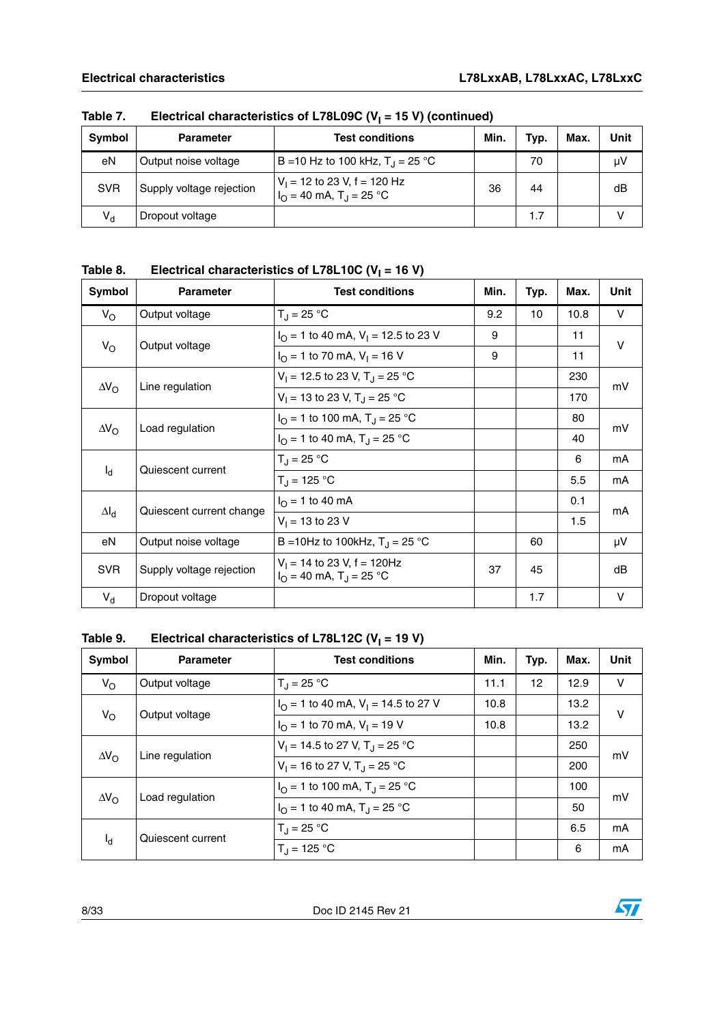| Symbol     | <b>Parameter</b>         | <b>Test conditions</b>                                                 | Min. | Typ. | <b>Max</b> | Unit |
|------------|--------------------------|------------------------------------------------------------------------|------|------|------------|------|
| eN         | Output noise voltage     | B = 10 Hz to 100 kHz, $T_1 = 25$ °C                                    |      | 70   |            | μV   |
| <b>SVR</b> | Supply voltage rejection | $V_1$ = 12 to 23 V, f = 120 Hz<br>$IO = 40$ mA, T <sub>J</sub> = 25 °C | 36   | 44   |            | dB   |
| $V_{d}$    | Dropout voltage          |                                                                        |      | 1.7  |            |      |

Table 7. Electrical characteristics of L78L09C (V<sub>I</sub> = 15 V) (continued)

| Table 8. | Electrical characteristics of L78L10C ( $V_1$ = 16 V) |
|----------|-------------------------------------------------------|
|----------|-------------------------------------------------------|

| Symbol             | <b>Parameter</b>         | <b>Test conditions</b>                                                        | Min. | Typ. | Max. | Unit   |
|--------------------|--------------------------|-------------------------------------------------------------------------------|------|------|------|--------|
| $V_{\rm O}$        | Output voltage           | $T_{\rm J}$ = 25 °C                                                           | 9.2  | 10   | 10.8 | V      |
| $V_{\rm O}$        | Output voltage           | $I_{\Omega}$ = 1 to 40 mA, V <sub>1</sub> = 12.5 to 23 V                      | 9    |      | 11   | v      |
|                    |                          | $I_{\Omega}$ = 1 to 70 mA, V <sub>1</sub> = 16 V                              | 9    |      | 11   |        |
| $\Delta V_{\rm O}$ | Line regulation          | $V_1 = 12.5$ to 23 V, T <sub>J</sub> = 25 °C                                  |      |      | 230  | mV     |
|                    |                          | $V_1 = 13$ to 23 V, T <sub>J</sub> = 25 °C                                    |      |      | 170  |        |
|                    | Load regulation          | $I_{\Omega}$ = 1 to 100 mA, T <sub>J</sub> = 25 °C                            |      |      | 80   | mV     |
| $\Delta V_{\rm O}$ |                          | $I_{\Omega}$ = 1 to 40 mA, T <sub>J</sub> = 25 °C                             |      |      | 40   |        |
|                    | Quiescent current        | $T_J = 25 °C$                                                                 |      |      | 6    | mA     |
| $I_d$              |                          | $T_{\rm J}$ = 125 °C                                                          |      |      | 5.5  | mA     |
| $\Delta I_d$       | Quiescent current change | $I_{\Omega}$ = 1 to 40 mA                                                     |      |      | 0.1  | mA     |
|                    |                          | $V_1 = 13$ to 23 V                                                            |      |      | 1.5  |        |
| eN                 | Output noise voltage     | B = 10Hz to 100kHz, $T_{\rm J}$ = 25 °C                                       |      | 60   |      | μV     |
| <b>SVR</b>         | Supply voltage rejection | $V_1$ = 14 to 23 V, f = 120Hz<br>$I_{\Omega}$ = 40 mA, T <sub>J</sub> = 25 °C | 37   | 45   |      | dB     |
| $V_{d}$            | Dropout voltage          |                                                                               |      | 1.7  |      | $\vee$ |

### Table 9. Electrical characteristics of L78L12C (V<sub>I</sub> = 19 V)

| <b>Symbol</b>      | <b>Parameter</b>  | <b>Test conditions</b>                                   | Min. | Typ. | Max. | Unit   |
|--------------------|-------------------|----------------------------------------------------------|------|------|------|--------|
| $V_{\rm O}$        | Output voltage    | $T_{\rm d}$ = 25 °C                                      | 11.1 | 12   | 12.9 | $\vee$ |
|                    |                   | $I_{\Omega}$ = 1 to 40 mA, V <sub>1</sub> = 14.5 to 27 V | 10.8 |      | 13.2 | v      |
| $V_{\rm O}$        | Output voltage    | $I_{\Omega}$ = 1 to 70 mA, $V_{\text{I}}$ = 19 V         | 10.8 |      | 13.2 |        |
|                    | Line regulation   | $V_1 = 14.5$ to 27 V, T <sub>.1</sub> = 25 °C            |      |      | 250  | mV     |
| $\Delta V_{\rm O}$ |                   | $V_1 = 16$ to 27 V, T <sub>J</sub> = 25 °C               |      |      | 200  |        |
|                    | Load regulation   | $I_{\Omega}$ = 1 to 100 mA, T <sub>J</sub> = 25 °C       |      |      | 100  | mV     |
| $\Delta V_{\rm O}$ |                   | $I_{\Omega}$ = 1 to 40 mA, T <sub>J</sub> = 25 °C        |      |      | 50   |        |
| ıq.                | Quiescent current | $T_{\rm d}$ = 25 °C                                      |      |      | 6.5  | mA     |
|                    |                   | $T_1 = 125 °C$                                           |      |      | 6    | mA     |

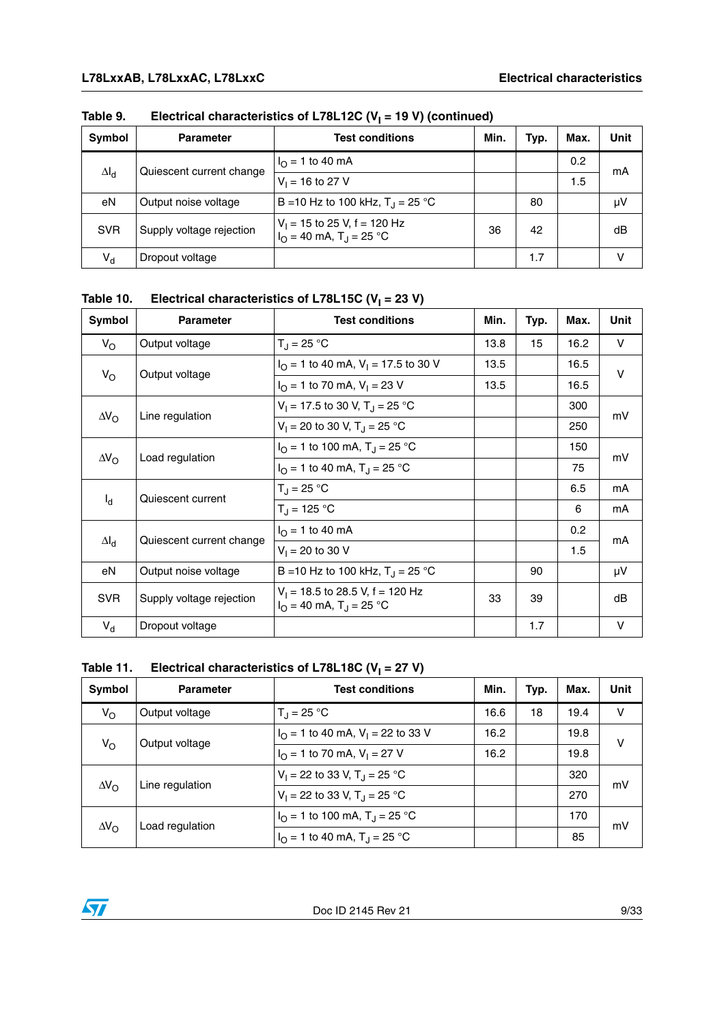| Symbol       | <b>Parameter</b>         | <b>Test conditions</b>                                         | Min. | Typ. | Max. | Unit |
|--------------|--------------------------|----------------------------------------------------------------|------|------|------|------|
|              |                          | $I_{\Omega}$ = 1 to 40 mA                                      |      |      | 0.2  | mA   |
| $\Delta I_d$ | Quiescent current change | $V_1 = 16$ to 27 V                                             |      |      | 1.5  |      |
| eN           | Output noise voltage     | B = 10 Hz to 100 kHz, $T_1 = 25$ °C                            |      | 80   |      | μV   |
| <b>SVR</b>   | Supply voltage rejection | $V_1$ = 15 to 25 V, f = 120 Hz<br>$I_O = 40$ mA, $T_J = 25$ °C | 36   | 42   |      | dB   |
| $V_{d}$      | Dropout voltage          |                                                                |      | 1.7  |      |      |

Table 9. Electrical characteristics of L78L12C (V<sub>I</sub> = 19 V) (continued)

Table 10. Electrical characteristics of L78L15C (V<sub>I</sub> = 23 V)

| Symbol             | <b>Parameter</b>         | <b>Test conditions</b>                                                             | Min. | Typ. | Max. | Unit   |
|--------------------|--------------------------|------------------------------------------------------------------------------------|------|------|------|--------|
| $V_{\rm O}$        | Output voltage           | $T_{J} = 25 °C$                                                                    | 13.8 | 15   | 16.2 | V      |
| $V_{\rm O}$        | Output voltage           | $I_{\Omega}$ = 1 to 40 mA, V <sub>1</sub> = 17.5 to 30 V                           | 13.5 |      | 16.5 | v      |
|                    |                          | $I_{\Omega}$ = 1 to 70 mA, V <sub>1</sub> = 23 V                                   | 13.5 |      | 16.5 |        |
|                    |                          | $V_1 = 17.5$ to 30 V, T <sub>J</sub> = 25 °C                                       |      |      | 300  | mV     |
| $\Delta V_{\rm O}$ | Line regulation          | $V_1 = 20$ to 30 V, T <sub>J</sub> = 25 °C                                         |      |      | 250  |        |
| $\Delta V_{\rm O}$ | Load regulation          | $I_{\Omega}$ = 1 to 100 mA, T <sub>J</sub> = 25 °C                                 |      |      | 150  | mV     |
|                    |                          | $I_{\Omega}$ = 1 to 40 mA, T <sub>J</sub> = 25 °C                                  |      |      | 75   |        |
|                    | Quiescent current        | $T_{J} = 25 °C$                                                                    |      |      | 6.5  | mA     |
| $I_{\rm d}$        |                          | $T_{\rm J}$ = 125 °C                                                               |      |      | 6    | mA     |
|                    | Quiescent current change | $I_{\Omega}$ = 1 to 40 mA                                                          |      |      | 0.2  | mA     |
| $\Delta I_d$       |                          | $V_1 = 20$ to 30 V                                                                 |      |      | 1.5  |        |
| eN                 | Output noise voltage     | B = 10 Hz to 100 kHz, $T_{\rm J}$ = 25 °C                                          |      | 90   |      | μV     |
| <b>SVR</b>         | Supply voltage rejection | $V_1$ = 18.5 to 28.5 V, f = 120 Hz<br>$I_{\Omega}$ = 40 mA, T <sub>J</sub> = 25 °C | 33   | 39   |      | dB     |
| $V_d$              | Dropout voltage          |                                                                                    |      | 1.7  |      | $\vee$ |

### Table 11. Electrical characteristics of L78L18C (V<sub>I</sub> = 27 V)

| Symbol             | <b>Parameter</b> | <b>Test conditions</b>                                 | Min. | Typ. | Max. | Unit |
|--------------------|------------------|--------------------------------------------------------|------|------|------|------|
| $V_{\rm O}$        | Output voltage   | $T_1 = 25 °C$                                          | 16.6 | 18   | 19.4 | v    |
|                    | Output voltage   | $I_{\Omega}$ = 1 to 40 mA, V <sub>1</sub> = 22 to 33 V | 16.2 |      | 19.8 | v    |
| $V_{\rm O}$        |                  | $I_{\Omega}$ = 1 to 70 mA, $V_{\text{I}}$ = 27 V       | 16.2 |      | 19.8 |      |
|                    | Line regulation  | $V_1 = 22$ to 33 V, T <sub>J</sub> = 25 °C             |      |      | 320  | mV   |
| $\Delta V_{\rm O}$ |                  | $V_1 = 22$ to 33 V, T <sub>J</sub> = 25 °C             |      |      | 270  |      |
| $\Delta V_{\rm O}$ | Load regulation  | $I_{\Omega}$ = 1 to 100 mA, T <sub>J</sub> = 25 °C     |      |      | 170  | mV   |
|                    |                  | $I_{\Omega}$ = 1 to 40 mA, T <sub>J</sub> = 25 °C      |      |      | 85   |      |

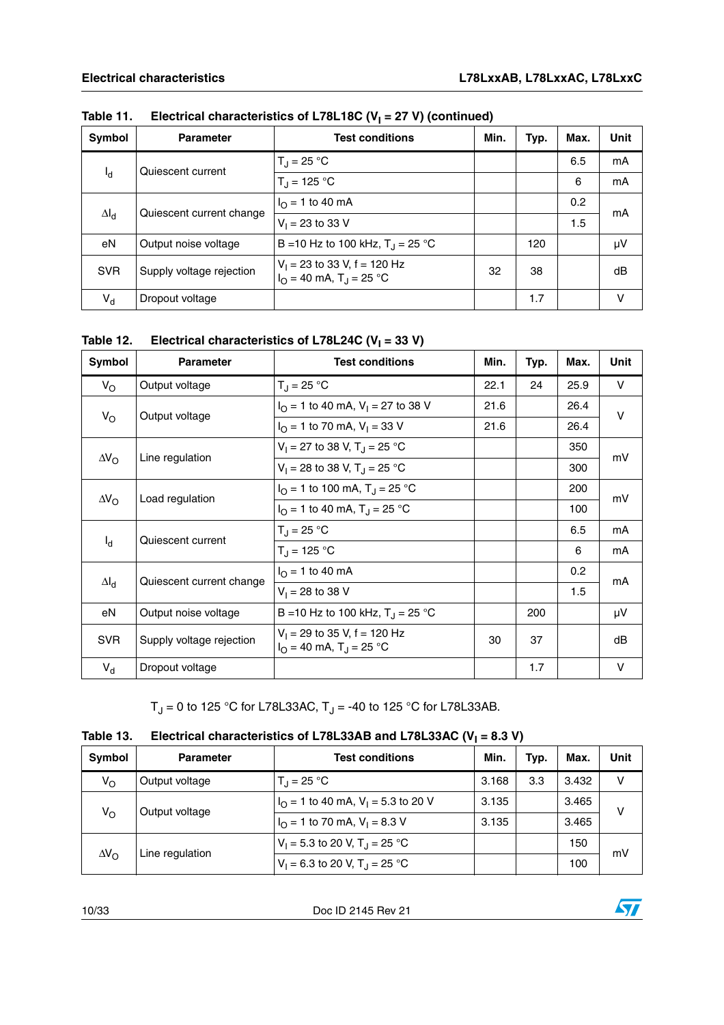| Symbol       | <b>Parameter</b>         | <b>Test conditions</b>                                                         | Min. | Typ. | Max. | <b>Unit</b> |
|--------------|--------------------------|--------------------------------------------------------------------------------|------|------|------|-------------|
|              | Quiescent current        | $T_{\rm d}$ = 25 °C                                                            |      |      | 6.5  | mA          |
| $I_d$        |                          | $T_{\rm d}$ = 125 °C                                                           |      |      | 6    | mA          |
|              | Quiescent current change | $I_{\Omega}$ = 1 to 40 mA                                                      |      |      | 0.2  | mA          |
| $\Delta I_d$ |                          | $V_1 = 23$ to 33 V                                                             |      |      | 1.5  |             |
| eN           | Output noise voltage     | B = 10 Hz to 100 kHz, $T_{\rm J}$ = 25 °C                                      |      | 120  |      | μV          |
| <b>SVR</b>   | Supply voltage rejection | $V_1$ = 23 to 33 V, f = 120 Hz<br>$I_{\Omega}$ = 40 mA, T <sub>J</sub> = 25 °C | 32   | 38   |      | dB          |
| $V_{d}$      | Dropout voltage          |                                                                                |      | 1.7  |      | v           |

### Table 11. Electrical characteristics of L78L18C (V<sub>I</sub> = 27 V) (continued)

Table 12. Electrical characteristics of L78L24C (V<sub>I</sub> = 33 V)

| Symbol             | <b>Parameter</b>         | <b>Test conditions</b>                                                         | Min. | Typ. | Max. | <b>Unit</b> |
|--------------------|--------------------------|--------------------------------------------------------------------------------|------|------|------|-------------|
| $V_{\rm O}$        | Output voltage           | $T_{\rm d}$ = 25 °C                                                            | 22.1 | 24   | 25.9 | V           |
|                    | Output voltage           | $I_{\text{O}}$ = 1 to 40 mA, V <sub>1</sub> = 27 to 38 V                       | 21.6 |      | 26.4 | $\vee$      |
| $V_{\rm O}$        |                          | $I_{\Omega}$ = 1 to 70 mA, V <sub>1</sub> = 33 V                               | 21.6 |      | 26.4 |             |
|                    | Line regulation          | $V_1 = 27$ to 38 V, T <sub>J</sub> = 25 °C                                     |      |      | 350  | mV          |
| $\Delta V_{\rm O}$ |                          | $V_1 = 28$ to 38 V, T <sub>J</sub> = 25 °C                                     |      |      | 300  |             |
|                    |                          | $I_{\Omega}$ = 1 to 100 mA, T <sub>J</sub> = 25 °C                             |      |      | 200  | mV          |
| $\Delta V_{\rm O}$ | Load regulation          | $I_{\Omega}$ = 1 to 40 mA, T <sub>J</sub> = 25 °C                              |      |      | 100  |             |
|                    | Quiescent current        | $T_{\rm J}$ = 25 °C                                                            |      |      | 6.5  | mA          |
| $I_{\rm d}$        |                          | $T_{\rm J}$ = 125 °C                                                           |      |      | 6    | mA          |
|                    | Quiescent current change | $I_{\Omega}$ = 1 to 40 mA                                                      |      |      | 0.2  | mA          |
| $\Delta I_d$       |                          | $V_1 = 28$ to 38 V                                                             |      |      | 1.5  |             |
| eN                 | Output noise voltage     | B = 10 Hz to 100 kHz, $T_{\rm J}$ = 25 °C                                      |      | 200  |      | μV          |
| <b>SVR</b>         | Supply voltage rejection | $V_1$ = 29 to 35 V, f = 120 Hz<br>$I_{\Omega}$ = 40 mA, T <sub>J</sub> = 25 °C | 30   | 37   |      | dB          |
| $V_d$              | Dropout voltage          |                                                                                |      | 1.7  |      | $\vee$      |

 $T_J = 0$  to 125 °C for L78L33AC,  $T_J = -40$  to 125 °C for L78L33AB.

| Table 13. | Electrical characteristics of L78L33AB and L78L33AC ( $V_1$ = 8.3 V) |
|-----------|----------------------------------------------------------------------|
|-----------|----------------------------------------------------------------------|

| Symbol             | <b>Parameter</b> | <b>Test conditions</b>                                  | Min.                                        | Typ. | Max.  | Unit |
|--------------------|------------------|---------------------------------------------------------|---------------------------------------------|------|-------|------|
| $V_{\rm O}$        | Output voltage   | $T_1 = 25 °C$                                           | 3.168                                       | 3.3  | 3.432 | v    |
|                    | Output voltage   | $I_{\Omega}$ = 1 to 40 mA, V <sub>1</sub> = 5.3 to 20 V | 3.135                                       |      | 3.465 | v    |
| $V_{\rm O}$        |                  | $I_{\Omega}$ = 1 to 70 mA, V <sub>1</sub> = 8.3 V       | 3.135                                       |      | 3.465 |      |
| $\Delta V_{\rm O}$ |                  | $V_1 = 5.3$ to 20 V, T <sub>J</sub> = 25 °C             |                                             |      | 150   | mV   |
|                    |                  | Line regulation                                         | $V_1 = 6.3$ to 20 V, T <sub>J</sub> = 25 °C |      |       | 100  |

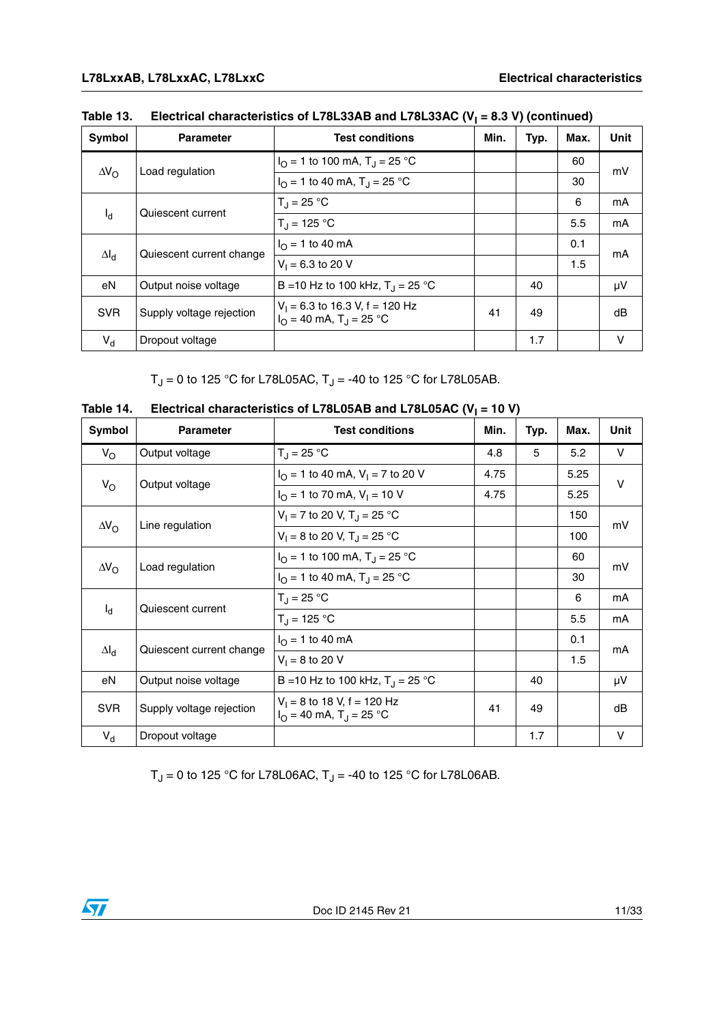| Symbol             | <b>Parameter</b>         | <b>Test conditions</b>                                                            | Min. | Typ. | Max. | <b>Unit</b> |
|--------------------|--------------------------|-----------------------------------------------------------------------------------|------|------|------|-------------|
|                    | Load regulation          | $I_{\Omega}$ = 1 to 100 mA, T <sub>J</sub> = 25 °C                                |      |      | 60   | mV          |
| $\Delta V_{\rm O}$ |                          | $I_{\Omega}$ = 1 to 40 mA, T <sub>J</sub> = 25 °C                                 |      |      | 30   |             |
|                    | Quiescent current        | $T_1 = 25 °C$                                                                     |      |      | 6    | mA          |
| $I_d$              |                          | $T_{\rm d}$ = 125 °C                                                              |      |      | 5.5  | mA          |
|                    |                          | $I_{\Omega}$ = 1 to 40 mA                                                         |      |      | 0.1  | mΑ          |
| $\Delta I_d$       | Quiescent current change | $V_1 = 6.3$ to 20 V                                                               |      |      | 1.5  |             |
| eN                 | Output noise voltage     | B = 10 Hz to 100 kHz, $T_{\rm J}$ = 25 °C                                         |      | 40   |      | μV          |
| <b>SVR</b>         | Supply voltage rejection | $V_1$ = 6.3 to 16.3 V, f = 120 Hz<br>$I_{\Omega}$ = 40 mA, T <sub>J</sub> = 25 °C | 41   | 49   |      | dB          |
| $V_{d}$            | Dropout voltage          |                                                                                   |      | 1.7  |      | V           |

| Table 13. | Electrical characteristics of L78L33AB and L78L33AC ( $V_1$ = 8.3 V) (continued) |
|-----------|----------------------------------------------------------------------------------|
|-----------|----------------------------------------------------------------------------------|

 $T_J = 0$  to 125 °C for L78L05AC,  $T_J = -40$  to 125 °C for L78L05AB.

| Symbol             | <b>Parameter</b>         | <b>Test conditions</b>                                                   | Min. | Typ. | Max. | Unit   |
|--------------------|--------------------------|--------------------------------------------------------------------------|------|------|------|--------|
| $V_{\rm O}$        | Output voltage           | $T_{\rm d}$ = 25 °C                                                      | 4.8  | 5    | 5.2  | V      |
|                    |                          | $I_{\Omega}$ = 1 to 40 mA, V <sub>1</sub> = 7 to 20 V                    | 4.75 |      | 5.25 | $\vee$ |
| $V_{\rm O}$        | Output voltage           | $I_{\Omega}$ = 1 to 70 mA, $V_{\text{I}}$ = 10 V                         | 4.75 |      | 5.25 |        |
|                    |                          | $V_1 = 7$ to 20 V, T <sub>J</sub> = 25 °C                                |      |      | 150  | mV     |
| $\Delta V_{\rm O}$ | Line regulation          | $V_1 = 8$ to 20 V, T <sub>J</sub> = 25 °C                                |      |      | 100  |        |
|                    |                          | $I_{\Omega}$ = 1 to 100 mA, T <sub>J</sub> = 25 °C                       |      |      | 60   |        |
| $\Delta V_{\rm O}$ | Load regulation          | $I_{\Omega}$ = 1 to 40 mA, T <sub>J</sub> = 25 °C                        |      |      | 30   | mV     |
|                    |                          | $T_{J} = 25 °C$                                                          |      |      | 6    | mA     |
| $I_d$              | Quiescent current        | $T_{\rm J}$ = 125 °C                                                     |      |      | 5.5  | mA     |
|                    |                          | $I_{\Omega}$ = 1 to 40 mA                                                |      |      | 0.1  |        |
| $\Delta I_d$       | Quiescent current change | $V_1 = 8$ to 20 V                                                        |      |      | 1.5  | mA     |
| eN                 | Output noise voltage     | B = 10 Hz to 100 kHz, $T_J = 25 °C$                                      |      | 40   |      | μV     |
| <b>SVR</b>         | Supply voltage rejection | $V_1 = 8$ to 18 V, f = 120 Hz<br>$I_{O}$ = 40 mA, T <sub>J</sub> = 25 °C | 41   | 49   |      | dB     |
| $V_{d}$            | Dropout voltage          |                                                                          |      | 1.7  |      | $\vee$ |

Table 14. Electrical characteristics of L78L05AB and L78L05AC (V<sub>I</sub> = 10 V)

 $T_J = 0$  to 125 °C for L78L06AC,  $T_J = -40$  to 125 °C for L78L06AB.



 $\sqrt{2}$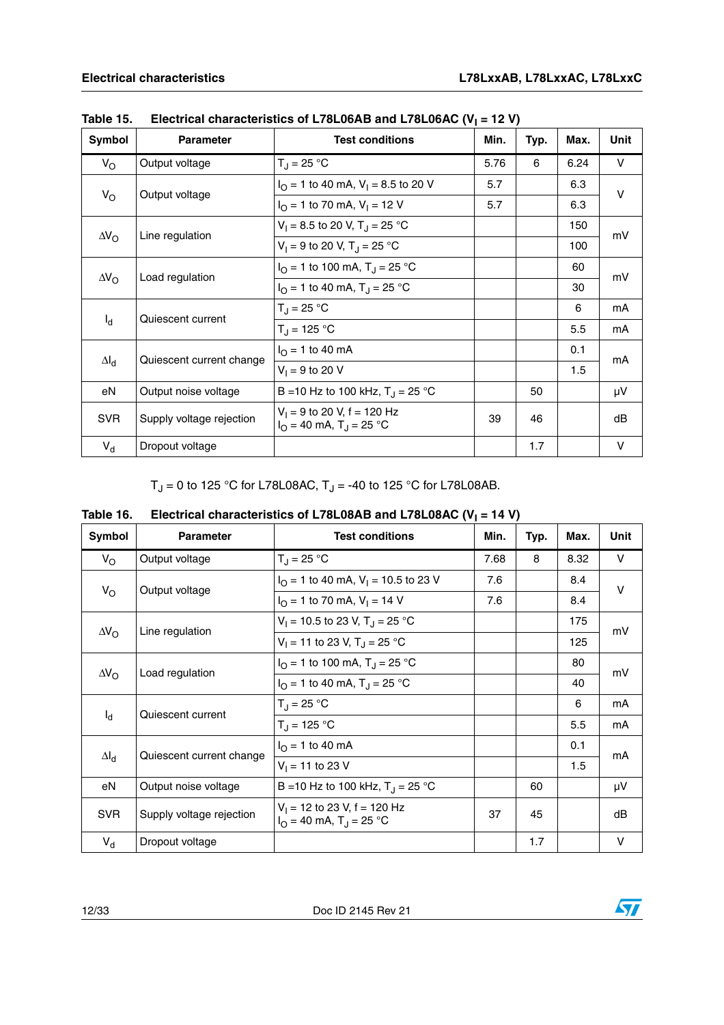| Symbol             | <b>Parameter</b>         | <b>Test conditions</b>                                                        | Min. | Typ. | Max. | Unit   |
|--------------------|--------------------------|-------------------------------------------------------------------------------|------|------|------|--------|
| $V_{\rm O}$        | Output voltage           | $T_{\rm J} = 25 \,^{\circ}\text{C}$                                           | 5.76 | 6    | 6.24 | V      |
| $V_{\rm O}$        |                          | $I_{\Omega}$ = 1 to 40 mA, V <sub>1</sub> = 8.5 to 20 V                       | 5.7  |      | 6.3  | $\vee$ |
|                    | Output voltage           | $I_{\Omega}$ = 1 to 70 mA, V <sub>1</sub> = 12 V                              | 5.7  |      | 6.3  |        |
| $\Delta V_{\rm O}$ |                          | $V_1 = 8.5$ to 20 V, T <sub>J</sub> = 25 °C                                   |      |      | 150  | mV     |
|                    | Line regulation          | $V_1 = 9$ to 20 V, T <sub>J</sub> = 25 °C                                     |      |      | 100  |        |
|                    | Load regulation          | $I_{\text{O}} = 1$ to 100 mA, T <sub>J</sub> = 25 °C                          |      |      | 60   | mV     |
| $\Delta V_{\rm O}$ |                          | $I_{\Omega}$ = 1 to 40 mA, T <sub>J</sub> = 25 °C                             |      |      | 30   |        |
|                    | Quiescent current        | $T_{\rm J}$ = 25 °C                                                           |      |      | 6    | mA     |
| $I_d$              |                          | $T_{\rm J}$ = 125 °C                                                          |      |      | 5.5  | mA     |
|                    |                          | $I_{\Omega}$ = 1 to 40 mA                                                     |      |      | 0.1  | mA     |
| $\Delta I_d$       | Quiescent current change | $V_1 = 9$ to 20 V                                                             |      |      | 1.5  |        |
| eN                 | Output noise voltage     | B = 10 Hz to 100 kHz, $T_{\rm J}$ = 25 °C                                     |      | 50   |      | μV     |
| <b>SVR</b>         | Supply voltage rejection | $V_1 = 9$ to 20 V, f = 120 Hz<br>$I_{\Omega}$ = 40 mA, T <sub>J</sub> = 25 °C | 39   | 46   |      | dB     |
| $V_d$              | Dropout voltage          |                                                                               |      | 1.7  |      | $\vee$ |

Table 15. Electrical characteristics of L78L06AB and L78L06AC (V<sub>I</sub> = 12 V)

 $T_J = 0$  to 125 °C for L78L08AC,  $T_J = -40$  to 125 °C for L78L08AB.

| Symbol             | <b>Parameter</b>                      | <b>Test conditions</b>                                                         | Min. | Typ. | Max. | Unit   |
|--------------------|---------------------------------------|--------------------------------------------------------------------------------|------|------|------|--------|
| $V_{\rm O}$        | Output voltage                        | $T_{J} = 25 °C$                                                                | 7.68 | 8    | 8.32 | V      |
|                    | Output voltage                        | $IO = 1$ to 40 mA, $VI = 10.5$ to 23 V                                         | 7.6  |      | 8.4  | $\vee$ |
| $V_{\rm O}$        |                                       | $I_{\Omega}$ = 1 to 70 mA, $V_{\text{I}}$ = 14 V                               | 7.6  |      | 8.4  |        |
|                    | Line regulation<br>$\Delta V_{\rm O}$ | $V_1 = 10.5$ to 23 V, T <sub>J</sub> = 25 °C                                   |      |      | 175  |        |
|                    |                                       | $V_1 = 11$ to 23 V, T <sub>J</sub> = 25 °C                                     |      |      | 125  | mV     |
|                    | Load regulation                       | $I_{\text{O}} = 1$ to 100 mA, T <sub>J</sub> = 25 °C                           |      |      | 80   | mV     |
| $\Delta V_{\rm O}$ |                                       | $I_{\Omega}$ = 1 to 40 mA, T <sub>J</sub> = 25 °C                              |      |      | 40   |        |
|                    | Quiescent current                     | $T_{\rm J}$ = 25 °C                                                            |      |      | 6    | mA     |
| $I_d$              |                                       | $T_{\rm J}$ = 125 °C                                                           |      |      | 5.5  | mA     |
|                    |                                       | $I_{\Omega}$ = 1 to 40 mA                                                      |      |      | 0.1  | mA     |
| $\Delta I_d$       | Quiescent current change              | $V_1 = 11$ to 23 V                                                             |      |      | 1.5  |        |
| eN                 | Output noise voltage                  | B = 10 Hz to 100 kHz, $T_{\rm J}$ = 25 °C                                      |      | 60   |      | μV     |
| <b>SVR</b>         | Supply voltage rejection              | $V_1$ = 12 to 23 V, f = 120 Hz<br>$I_{\Omega}$ = 40 mA, T <sub>J</sub> = 25 °C | 37   | 45   |      | dB     |
| $V_{d}$            | Dropout voltage                       |                                                                                |      | 1.7  |      | V      |

| Table 16. | Electrical characteristics of L78L08AB and L78L08AC ( $V_1$ = 14 V) |
|-----------|---------------------------------------------------------------------|
|           |                                                                     |

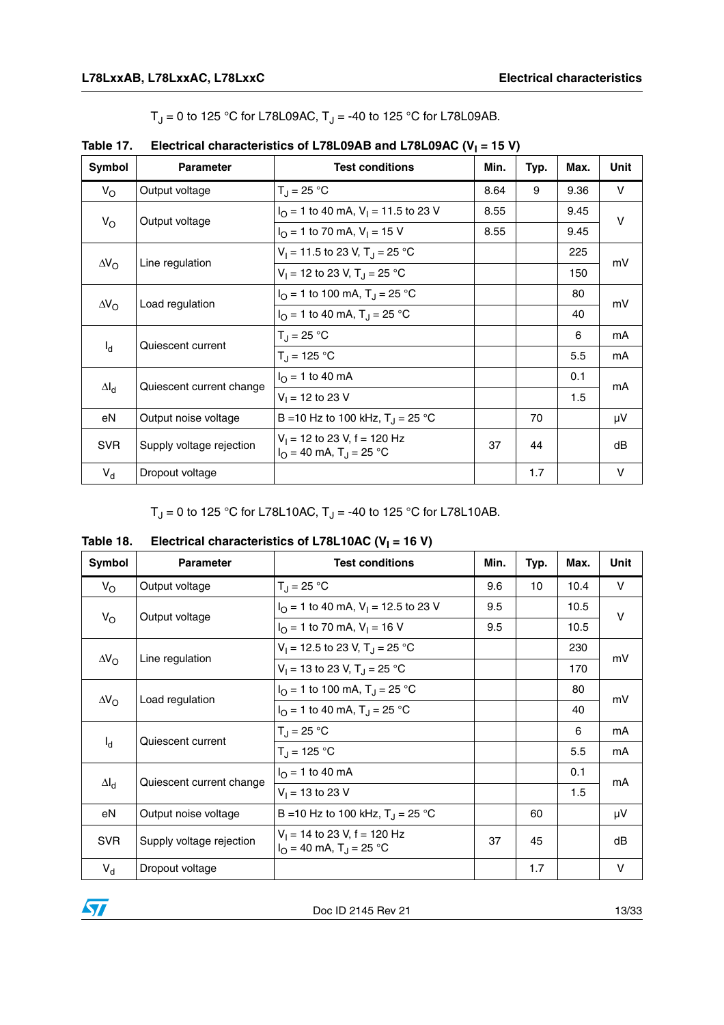$T_J = 0$  to 125 °C for L78L09AC,  $T_J = -40$  to 125 °C for L78L09AB.

| Symbol             | <b>Parameter</b>                      | <b>Test conditions</b>                                                         | Min. | Typ. | Max. | Unit   |
|--------------------|---------------------------------------|--------------------------------------------------------------------------------|------|------|------|--------|
| $V_{\rm O}$        | Output voltage                        | $T_{\rm d}$ = 25 °C                                                            | 8.64 | 9    | 9.36 | V      |
|                    | Output voltage                        | $I_{\Omega}$ = 1 to 40 mA, V <sub>1</sub> = 11.5 to 23 V                       | 8.55 |      | 9.45 | $\vee$ |
| $V_{\rm O}$        |                                       | $I_{\Omega}$ = 1 to 70 mA, V <sub>1</sub> = 15 V                               | 8.55 |      | 9.45 |        |
|                    | $\Delta V_{\rm O}$<br>Line regulation | $V_1 = 11.5$ to 23 V, T <sub>r</sub> = 25 °C                                   |      |      | 225  |        |
|                    |                                       | $V_1 = 12$ to 23 V, T <sub>J</sub> = 25 °C                                     |      |      | 150  | mV     |
|                    |                                       | $I_{\Omega}$ = 1 to 100 mA, T <sub>J</sub> = 25 °C                             |      |      | 80   | mV     |
| $\Delta V_{\rm O}$ | Load regulation                       | $I_{\Omega}$ = 1 to 40 mA, T <sub>J</sub> = 25 °C                              |      |      | 40   |        |
|                    | Quiescent current                     | $T_J = 25 °C$                                                                  |      |      | 6    | mA     |
| $I_d$              |                                       | $T_{\rm J}$ = 125 °C                                                           |      |      | 5.5  | mA     |
|                    |                                       | $I_{\rm O}$ = 1 to 40 mA                                                       |      |      | 0.1  | mA     |
| $\Delta I_d$       | Quiescent current change              | $V_1 = 12$ to 23 V                                                             |      |      | 1.5  |        |
| eN                 | Output noise voltage                  | B = 10 Hz to 100 kHz, $T_J = 25 °C$                                            |      | 70   |      | μV     |
| <b>SVR</b>         | Supply voltage rejection              | $V_1$ = 12 to 23 V, f = 120 Hz<br>$I_{\Omega}$ = 40 mA, T <sub>J</sub> = 25 °C | 37   | 44   |      | dB     |
| $V_{d}$            | Dropout voltage                       |                                                                                |      | 1.7  |      | $\vee$ |

|  | Table 17. Electrical characteristics of L78L09AB and L78L09AC ( $V_1$ = 15 V) |
|--|-------------------------------------------------------------------------------|
|--|-------------------------------------------------------------------------------|

 $T_J = 0$  to 125 °C for L78L10AC,  $T_J = -40$  to 125 °C for L78L10AB.

| Symbol                                | <b>Parameter</b>                             | <b>Test conditions</b>                                                         | Min. | Typ. | Max. | Unit   |
|---------------------------------------|----------------------------------------------|--------------------------------------------------------------------------------|------|------|------|--------|
| $V_{\rm O}$                           | Output voltage                               | $T_{J} = 25 °C$                                                                | 9.6  | 10   | 10.4 | $\vee$ |
|                                       | Output voltage                               | $I_{\Omega}$ = 1 to 40 mA, V <sub>1</sub> = 12.5 to 23 V                       | 9.5  |      | 10.5 | $\vee$ |
| $V_{\rm O}$                           |                                              | $I_{\Omega}$ = 1 to 70 mA, V <sub>1</sub> = 16 V                               | 9.5  |      | 10.5 |        |
| Line regulation<br>$\Delta V_{\rm O}$ | $V_1 = 12.5$ to 23 V, T <sub>J</sub> = 25 °C |                                                                                |      | 230  |      |        |
|                                       |                                              | $V_1 = 13$ to 23 V, T <sub>J</sub> = 25 °C                                     |      |      | 170  | mV     |
|                                       | Load regulation                              | $I_{\Omega}$ = 1 to 100 mA, T <sub>J</sub> = 25 °C                             |      |      | 80   | mV     |
| $\Delta V_{\rm O}$                    |                                              | $I_{\Omega}$ = 1 to 40 mA, T <sub>J</sub> = 25 °C                              |      |      | 40   |        |
|                                       | Quiescent current                            | $T_{\rm J}$ = 25 °C                                                            |      |      | 6    | mA     |
| $I_d$                                 |                                              | $T_{\rm J}$ = 125 °C                                                           |      |      | 5.5  | mA     |
|                                       | Quiescent current change                     | $I_{\Omega}$ = 1 to 40 mA                                                      |      |      | 0.1  | mA     |
| $\Delta I_d$                          |                                              | $V_1 = 13$ to 23 V                                                             |      |      | 1.5  |        |
| eN                                    | Output noise voltage                         | B = 10 Hz to 100 kHz, $T_{\rm J}$ = 25 °C                                      |      | 60   |      | μV     |
| <b>SVR</b>                            | Supply voltage rejection                     | $V_1$ = 14 to 23 V, f = 120 Hz<br>$I_{\Omega}$ = 40 mA, T <sub>J</sub> = 25 °C | 37   | 45   |      | dB     |
| $V_d$                                 | Dropout voltage                              |                                                                                |      | 1.7  |      | $\vee$ |

### Table 18. Electrical characteristics of L78L10AC (V<sub>I</sub> = 16 V)

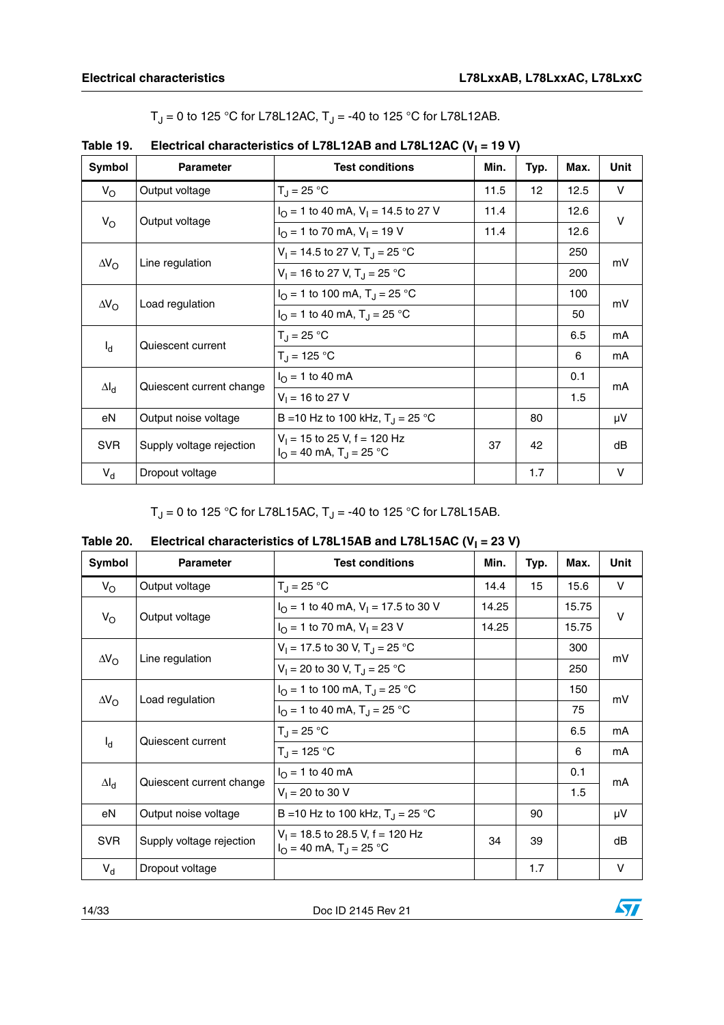|  | $T_J$ = 0 to 125 °C for L78L12AC, $T_J$ = -40 to 125 °C for L78L12AB. |
|--|-----------------------------------------------------------------------|
|--|-----------------------------------------------------------------------|

| Symbol                                | <b>Parameter</b>         | <b>Test conditions</b>                                                         | Min. | Typ. | Max. | Unit   |
|---------------------------------------|--------------------------|--------------------------------------------------------------------------------|------|------|------|--------|
| $V_{\rm O}$                           | Output voltage           | $T_{\rm J} = 25 \,^{\circ}\text{C}$                                            | 11.5 | 12   | 12.5 | V      |
| $V_{\rm O}$                           | Output voltage           | $I_{\Omega}$ = 1 to 40 mA, V <sub>1</sub> = 14.5 to 27 V                       | 11.4 |      | 12.6 | $\vee$ |
|                                       |                          | $I_{\text{O}}$ = 1 to 70 mA, V <sub>1</sub> = 19 V                             | 11.4 |      | 12.6 |        |
| $\Delta V_{\rm O}$<br>Line regulation |                          | $V_1 = 14.5$ to 27 V, T <sub>r</sub> = 25 °C                                   |      |      | 250  |        |
|                                       |                          | $V_1 = 16$ to 27 V, T <sub>J</sub> = 25 °C                                     |      |      | 200  | mV     |
|                                       | Load regulation          | $I_{\Omega}$ = 1 to 100 mA, T <sub>J</sub> = 25 °C                             |      |      | 100  | mV     |
| $\Delta V_{\rm O}$                    |                          | $I_{\Omega}$ = 1 to 40 mA, T <sub>J</sub> = 25 °C                              |      |      | 50   |        |
|                                       | Quiescent current        | $T_{\rm J} = 25 \,^{\circ}\text{C}$                                            |      |      | 6.5  | mA     |
| $I_d$                                 |                          | $T_{\rm J}$ = 125 °C                                                           |      |      | 6    | mA     |
|                                       |                          | $I_{\Omega} = 1$ to 40 mA                                                      |      |      | 0.1  | mA     |
| $\Delta I_d$                          | Quiescent current change | $V_1 = 16$ to 27 V                                                             |      |      | 1.5  |        |
| eN                                    | Output noise voltage     | B = 10 Hz to 100 kHz, $T_{\rm J}$ = 25 °C                                      |      | 80   |      | μV     |
| <b>SVR</b>                            | Supply voltage rejection | $V_1$ = 15 to 25 V, f = 120 Hz<br>$I_{\Omega}$ = 40 mA, T <sub>J</sub> = 25 °C | 37   | 42   |      | dB     |
| $V_{d}$                               | Dropout voltage          |                                                                                |      | 1.7  |      | V      |

Table 19. Electrical characteristics of L78L12AB and L78L12AC (V<sub>I</sub> = 19 V)

 $T_J = 0$  to 125 °C for L78L15AC,  $T_J = -40$  to 125 °C for L78L15AB.

| Table 20. | Electrical characteristics of L78L15AB and L78L15AC ( $V_1$ = 23 V) |
|-----------|---------------------------------------------------------------------|
|-----------|---------------------------------------------------------------------|

| Symbol                                | <b>Parameter</b>         | <b>Test conditions</b>                                                             | Min.  | Typ. | Max.  | Unit   |
|---------------------------------------|--------------------------|------------------------------------------------------------------------------------|-------|------|-------|--------|
| $V_{\rm O}$                           | Output voltage           | $T_{\rm d}$ = 25 °C                                                                | 14.4  | 15   | 15.6  | V      |
| $V_{\rm O}$                           | Output voltage           | $I_{\Omega}$ = 1 to 40 mA, V <sub>1</sub> = 17.5 to 30 V                           | 14.25 |      | 15.75 | $\vee$ |
|                                       |                          | $I_{\Omega}$ = 1 to 70 mA, V <sub>1</sub> = 23 V                                   | 14.25 |      | 15.75 |        |
| $\Delta V_{\rm O}$<br>Line regulation |                          | $V_1 = 17.5$ to 30 V, T <sub>J</sub> = 25 °C                                       |       |      | 300   | mV     |
|                                       |                          | $V_1 = 20$ to 30 V, T <sub>J</sub> = 25 °C                                         |       |      | 250   |        |
|                                       | Load regulation          | $I_{\Omega}$ = 1 to 100 mA, T <sub>J</sub> = 25 °C                                 |       |      | 150   | mV     |
| $\Delta V_{\Omega}$                   |                          | $I_{\Omega}$ = 1 to 40 mA, T <sub>J</sub> = 25 °C                                  |       |      | 75    |        |
|                                       | Quiescent current        | $T_{J} = 25 °C$                                                                    |       |      | 6.5   | mA     |
| $I_{d}$                               |                          | $T_{\rm J}$ = 125 °C                                                               |       |      | 6     | mA     |
|                                       | Quiescent current change | $I_{\Omega}$ = 1 to 40 mA                                                          |       |      | 0.1   | mA     |
| $\Delta I_d$                          |                          | $V_1 = 20$ to 30 V                                                                 |       |      | 1.5   |        |
| eN                                    | Output noise voltage     | B = 10 Hz to 100 kHz, $T_J = 25 °C$                                                |       | 90   |       | μV     |
| <b>SVR</b>                            | Supply voltage rejection | $V_1$ = 18.5 to 28.5 V, f = 120 Hz<br>$I_{\Omega}$ = 40 mA, T <sub>J</sub> = 25 °C | 34    | 39   |       | dВ     |
| $V_{d}$                               | Dropout voltage          |                                                                                    |       | 1.7  |       | $\vee$ |

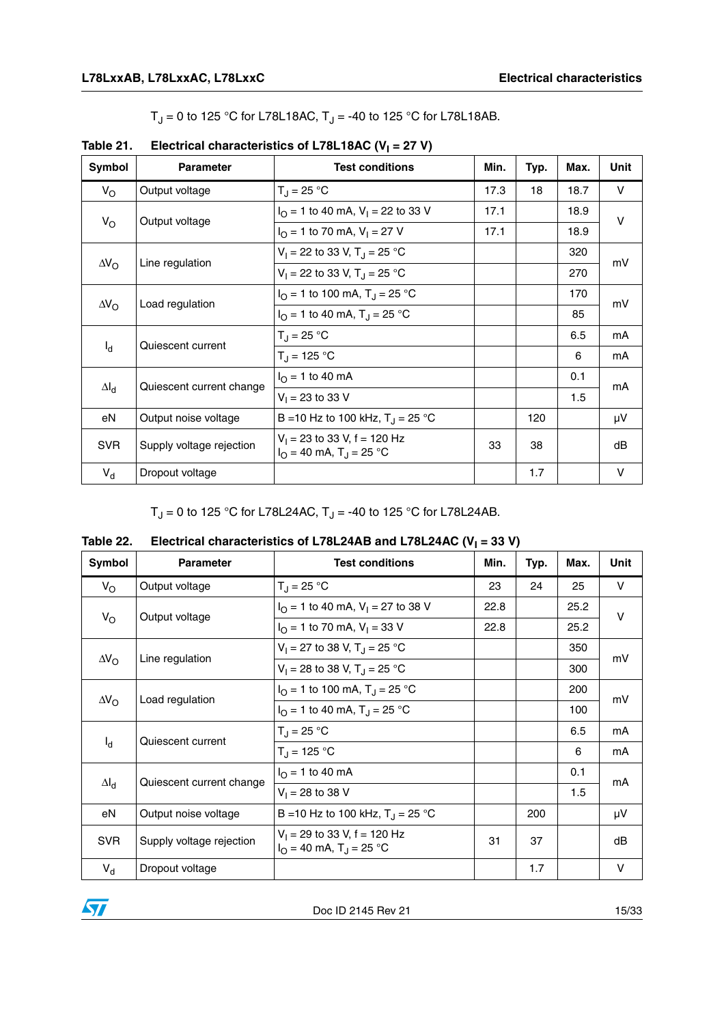$T_J = 0$  to 125 °C for L78L18AC,  $T_J = -40$  to 125 °C for L78L18AB.

| Symbol             | <b>Parameter</b>                                   | <b>Test conditions</b>                                                         | Min. | Typ. | Max. | Unit   |
|--------------------|----------------------------------------------------|--------------------------------------------------------------------------------|------|------|------|--------|
| $V_{\rm O}$        | Output voltage                                     | $T_{\rm J} = 25 °C$                                                            | 17.3 | 18   | 18.7 | V      |
|                    | Output voltage                                     | $IO = 1$ to 40 mA, $V1 = 22$ to 33 V                                           | 17.1 |      | 18.9 | $\vee$ |
| $V_{\rm O}$        |                                                    | $I_{\Omega}$ = 1 to 70 mA, $V_{\text{I}}$ = 27 V                               | 17.1 |      | 18.9 |        |
| $\Delta V_{\rm O}$ | Line regulation                                    | $V_1 = 22$ to 33 V, T <sub>J</sub> = 25 °C                                     |      |      | 320  | mV     |
|                    |                                                    | $V_1 = 22$ to 33 V, T <sub>J</sub> = 25 °C                                     |      |      | 270  |        |
|                    | $I_{\Omega}$ = 1 to 100 mA, T <sub>J</sub> = 25 °C |                                                                                |      | 170  | mV   |        |
| $\Delta V_{\rm O}$ | Load regulation                                    | $I_{\Omega}$ = 1 to 40 mA, T <sub>J</sub> = 25 °C                              |      |      | 85   |        |
|                    | Quiescent current                                  | $T_J = 25 °C$                                                                  |      |      | 6.5  | mA     |
| $I_{d}$            |                                                    | $T_{J}$ = 125 °C                                                               |      |      | 6    | mA     |
|                    |                                                    | $I_{\Omega}$ = 1 to 40 mA                                                      |      |      | 0.1  | mA     |
| $\Delta I_d$       | Quiescent current change                           | $V_1 = 23$ to 33 V                                                             |      |      | 1.5  |        |
| eN                 | Output noise voltage                               | B = 10 Hz to 100 kHz, $T_{\rm J}$ = 25 °C                                      |      | 120  |      | μV     |
| <b>SVR</b>         | Supply voltage rejection                           | $V_1$ = 23 to 33 V, f = 120 Hz<br>$I_{\Omega}$ = 40 mA, T <sub>J</sub> = 25 °C | 33   | 38   |      | dB     |
| $V_{d}$            | Dropout voltage                                    |                                                                                |      | 1.7  |      | $\vee$ |

### Table 21. Electrical characteristics of L78L18AC (V<sub>I</sub> = 27 V)

 $T_J = 0$  to 125 °C for L78L24AC,  $T_J = -40$  to 125 °C for L78L24AB.

| Table 22. | Electrical characteristics of L78L24AB and L78L24AC ( $V_1$ = 33 V) |  |
|-----------|---------------------------------------------------------------------|--|
|           |                                                                     |  |

| Symbol                                | <b>Parameter</b>                      | <b>Test conditions</b>                                                         | Min. | Typ. | Max. | Unit   |
|---------------------------------------|---------------------------------------|--------------------------------------------------------------------------------|------|------|------|--------|
| $V_{\rm O}$                           | Output voltage                        | $T_{\rm J} = 25 \,^{\circ}\text{C}$                                            | 23   | 24   | 25   | V      |
|                                       | Output voltage                        | $I_{\Omega}$ = 1 to 40 mA, V <sub>1</sub> = 27 to 38 V                         | 22.8 |      | 25.2 | $\vee$ |
| $V_{\rm O}$                           |                                       | $I_{\text{O}} = 1$ to 70 mA, $V_{\text{I}} = 33$ V                             | 22.8 |      | 25.2 |        |
|                                       |                                       | $V_1 = 27$ to 38 V, T <sub>J</sub> = 25 °C                                     |      |      | 350  | mV     |
| $\Delta V_{\rm O}$<br>Line regulation |                                       | $V_1 = 28$ to 38 V, T <sub>J</sub> = 25 °C                                     |      |      | 300  |        |
|                                       | $\Delta V_{\rm O}$<br>Load regulation | $I_{\Omega}$ = 1 to 100 mA, T <sub>J</sub> = 25 °C                             |      |      | 200  | mV     |
|                                       |                                       | $I_{\Omega}$ = 1 to 40 mA, T <sub>J</sub> = 25 °C                              |      |      | 100  |        |
|                                       | Quiescent current                     | $T_{\rm J} = 25 °C$                                                            |      |      | 6.5  | mA     |
| $I_{d}$                               |                                       | $T_{\rm J}$ = 125 °C                                                           |      |      | 6    | mA     |
|                                       | Quiescent current change              | $I_{\Omega}$ = 1 to 40 mA                                                      |      |      | 0.1  | mA     |
| $\Delta I_d$                          |                                       | $V_1 = 28$ to 38 V                                                             |      |      | 1.5  |        |
| eN                                    | Output noise voltage                  | B = 10 Hz to 100 kHz, $T_{\rm J}$ = 25 °C                                      |      | 200  |      | μV     |
| <b>SVR</b>                            | Supply voltage rejection              | $V_1$ = 29 to 33 V, f = 120 Hz<br>$I_{\Omega}$ = 40 mA, T <sub>J</sub> = 25 °C | 31   | 37   |      | dB     |
| $V_{d}$                               | Dropout voltage                       |                                                                                |      | 1.7  |      | V      |

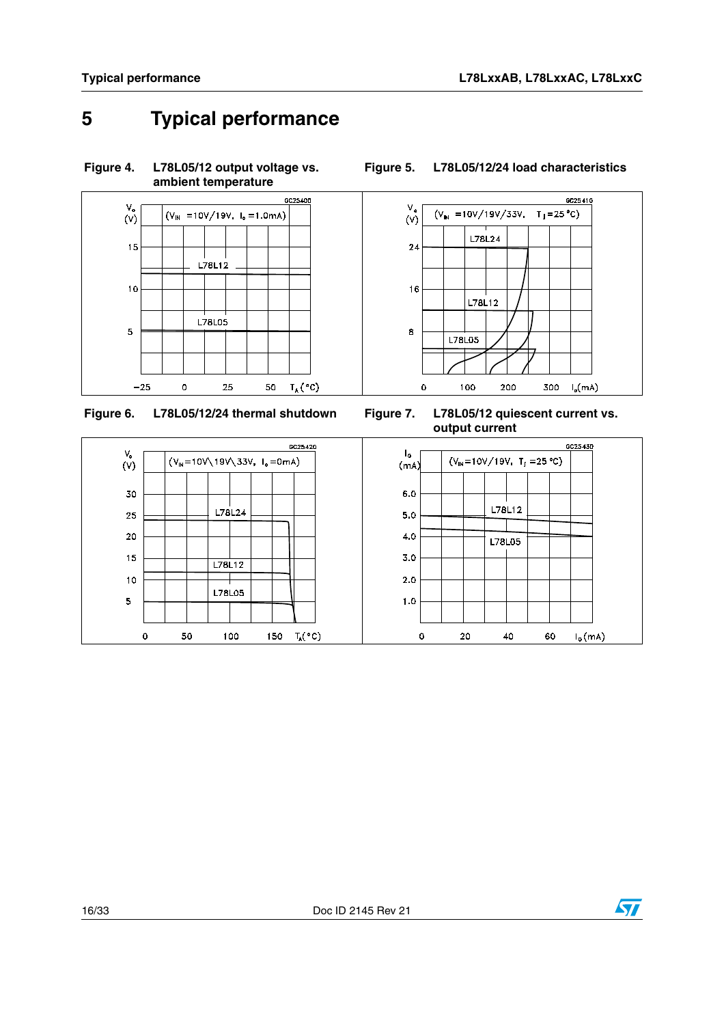GC25410

# <span id="page-15-0"></span>**5 Typical performance**

**Figure 4. L78L05/12 output voltage vs.** 



**Figure 5. L78L05/12/24 load characteristics**



**Figure 6. L78L05/12/24 thermal shutdown Figure 7. L78L05/12 quiescent current vs.** 



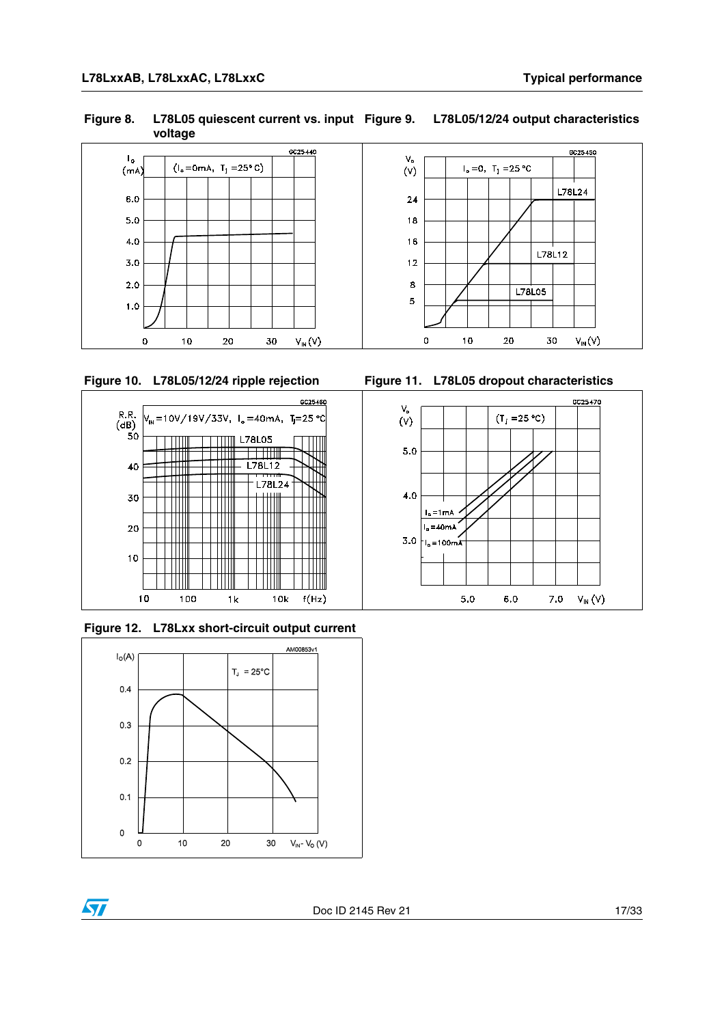**Figure 8. L78L05 quiescent current vs. input voltage Figure 9. L78L05/12/24 output characteristics**





<span id="page-16-0"></span>



**Figure 10. L78L05/12/24 ripple rejection Figure 11. L78L05 dropout characteristics**



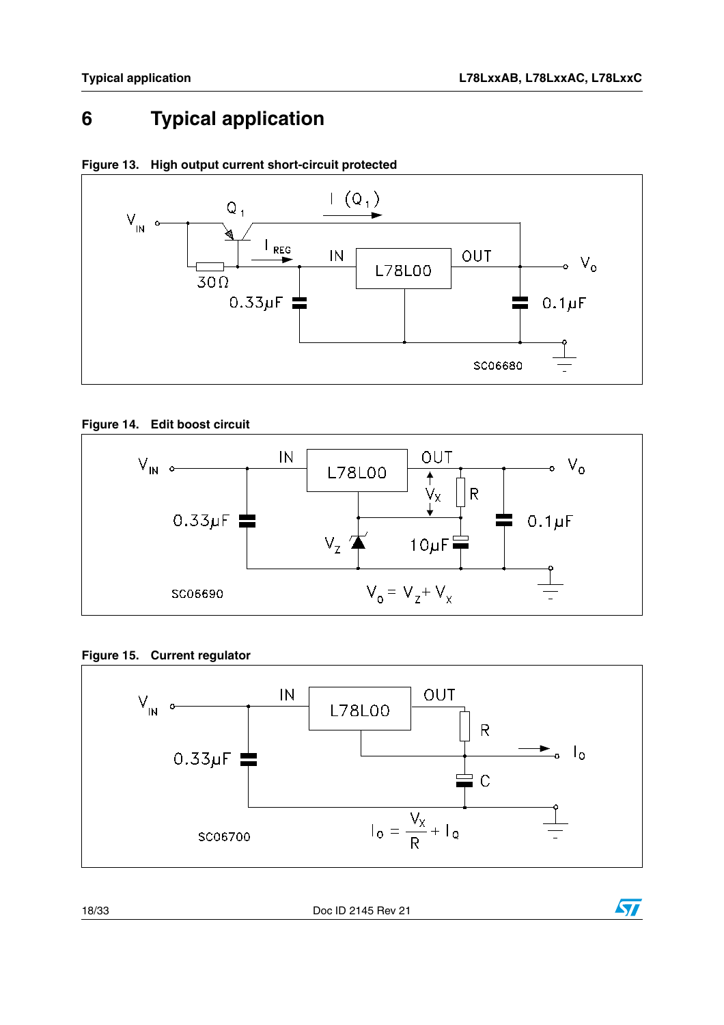$\sqrt{2}$ 

## <span id="page-17-0"></span>**6 Typical application**



**Figure 13. High output current short-circuit protected**

#### **Figure 14. Edit boost circuit**



**Figure 15. Current regulator**



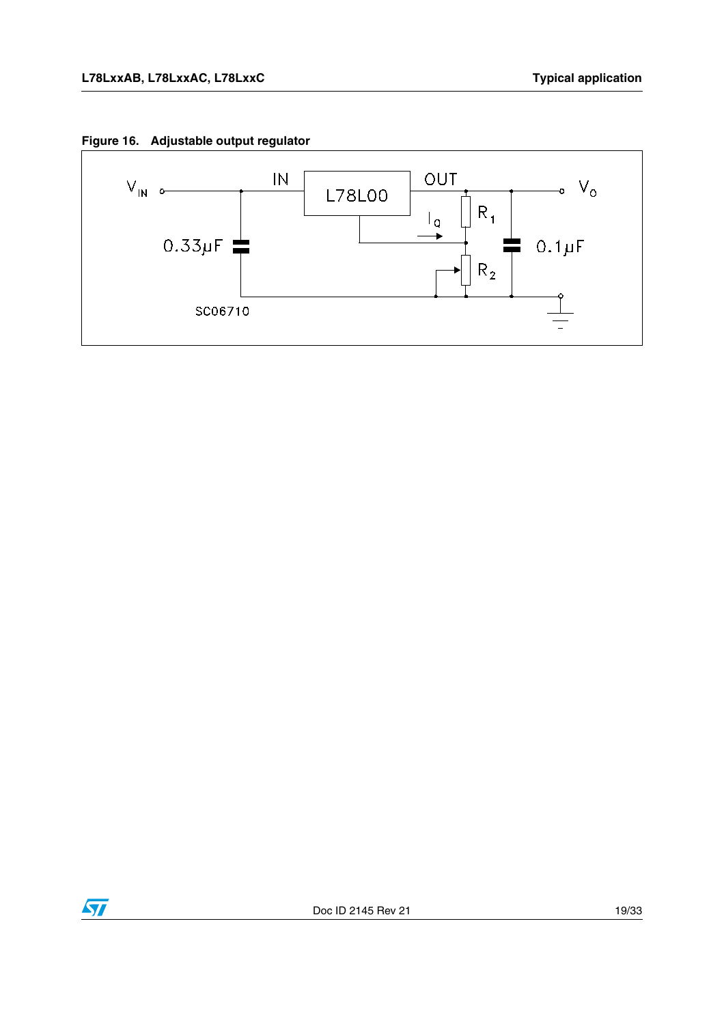



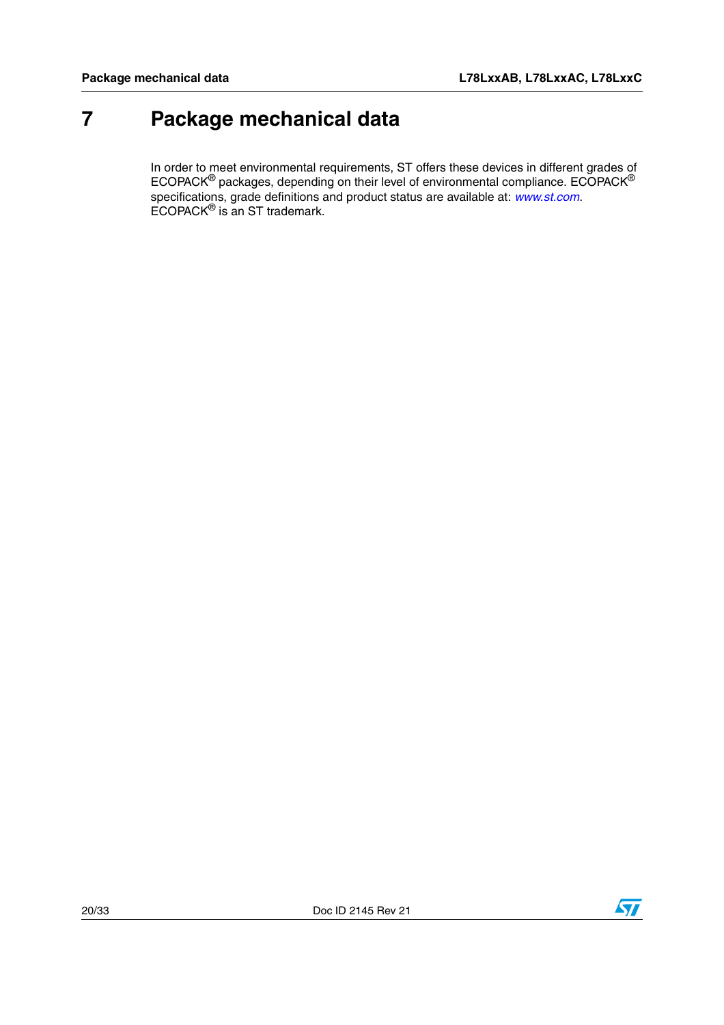## <span id="page-19-0"></span>**7 Package mechanical data**

In order to meet environmental requirements, ST offers these devices in different grades of ECOPACK<sup>®</sup> packages, depending on their level of environmental compliance. ECOPACK<sup>®</sup> specifications, grade definitions and product status are available at: [www.st.com](http://www.st.com). ECOPACK® is an ST trademark.

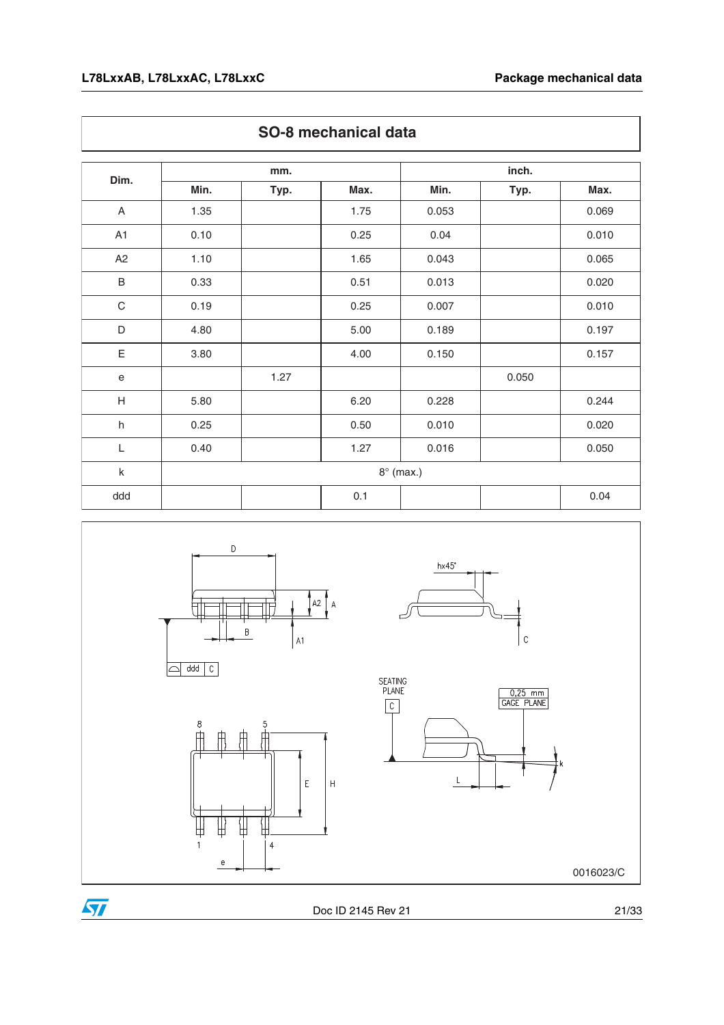|                           |      | mm.  |      | inch.            |       |       |
|---------------------------|------|------|------|------------------|-------|-------|
| Dim.                      | Min. | Typ. | Max. | Min.             | Typ.  | Max.  |
| A                         | 1.35 |      | 1.75 | 0.053            |       | 0.069 |
| A1                        | 0.10 |      | 0.25 | 0.04             |       | 0.010 |
| A2                        | 1.10 |      | 1.65 | 0.043            |       | 0.065 |
| $\sf B$                   | 0.33 |      | 0.51 | 0.013            |       | 0.020 |
| $\mathsf C$               | 0.19 |      | 0.25 | 0.007            |       | 0.010 |
| D                         | 4.80 |      | 5.00 | 0.189            |       | 0.197 |
| E                         | 3.80 |      | 4.00 | 0.150            |       | 0.157 |
| $\mathbf e$               |      | 1.27 |      |                  | 0.050 |       |
| $\boldsymbol{\mathsf{H}}$ | 5.80 |      | 6.20 | 0.228            |       | 0.244 |
| $\sf h$                   | 0.25 |      | 0.50 | 0.010            |       | 0.020 |
| L                         | 0.40 |      | 1.27 | 0.016            |       | 0.050 |
| $\sf k$                   |      |      |      | $8^\circ$ (max.) |       |       |
| ddd                       |      |      | 0.1  |                  |       | 0.04  |





0016023/C



Doc ID 2145 Rev 21 21/33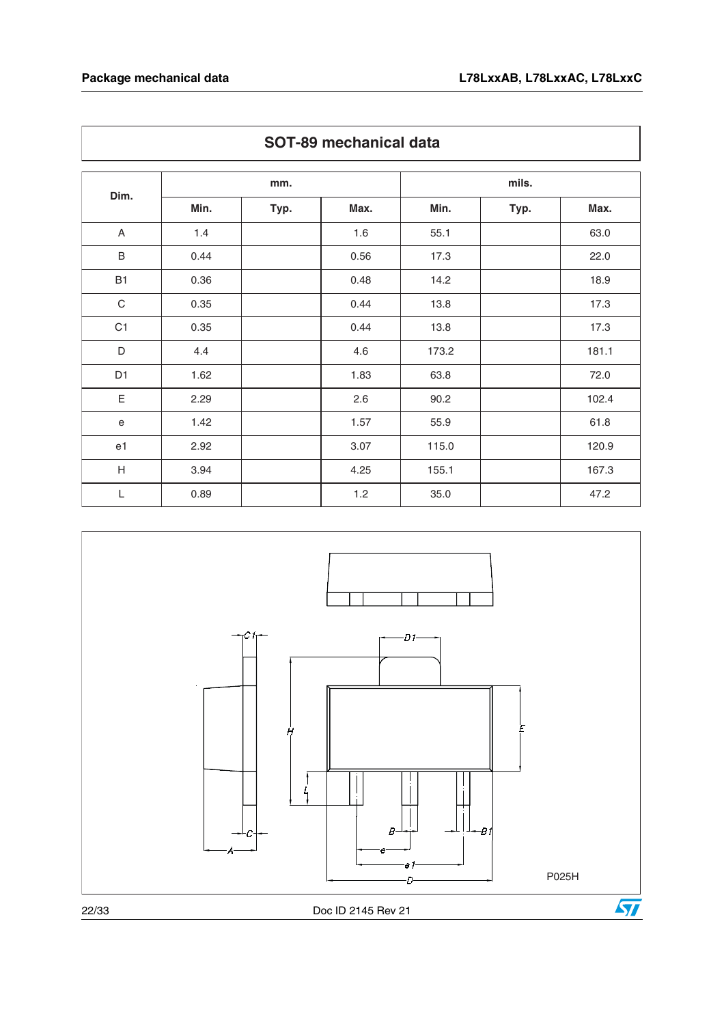|                           | mm.  |      |       | mils. |      |       |
|---------------------------|------|------|-------|-------|------|-------|
| Dim.                      | Min. | Typ. | Max.  | Min.  | Typ. | Max.  |
| $\mathsf A$               | 1.4  |      | 1.6   | 55.1  |      | 63.0  |
| $\sf B$                   | 0.44 |      | 0.56  | 17.3  |      | 22.0  |
| <b>B1</b>                 | 0.36 |      | 0.48  | 14.2  |      | 18.9  |
| $\mathbf C$               | 0.35 |      | 0.44  | 13.8  |      | 17.3  |
| C1                        | 0.35 |      | 0.44  | 13.8  |      | 17.3  |
| $\mathsf D$               | 4.4  |      | 4.6   | 173.2 |      | 181.1 |
| D <sub>1</sub>            | 1.62 |      | 1.83  | 63.8  |      | 72.0  |
| $\mathsf E$               | 2.29 |      | 2.6   | 90.2  |      | 102.4 |
| $\mathbf e$               | 1.42 |      | 1.57  | 55.9  |      | 61.8  |
| e1                        | 2.92 |      | 3.07  | 115.0 |      | 120.9 |
| $\boldsymbol{\mathsf{H}}$ | 3.94 |      | 4.25  | 155.1 |      | 167.3 |
| L                         | 0.89 |      | $1.2$ | 35.0  |      | 47.2  |



### **SOT-89 mechanical data**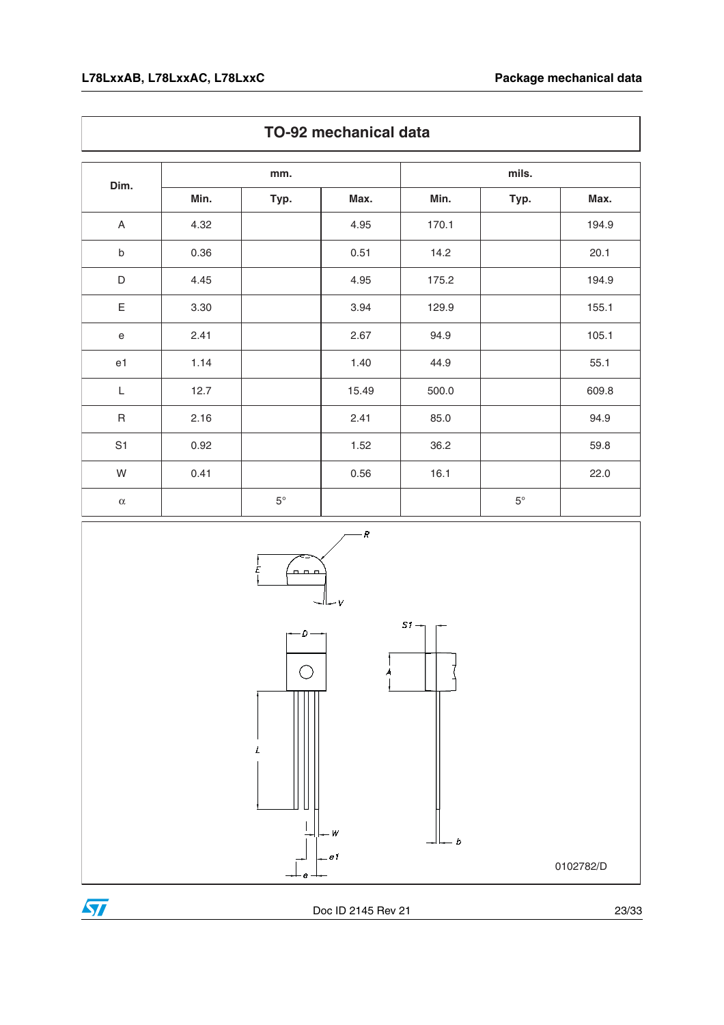|                | mm.  |             |       | mils. |             |       |
|----------------|------|-------------|-------|-------|-------------|-------|
| Dim.           | Min. | Typ.        | Max.  | Min.  | Typ.        | Max.  |
| $\mathsf A$    | 4.32 |             | 4.95  | 170.1 |             | 194.9 |
| $\sf b$        | 0.36 |             | 0.51  | 14.2  |             | 20.1  |
| $\mathsf D$    | 4.45 |             | 4.95  | 175.2 |             | 194.9 |
| $\mathsf E$    | 3.30 |             | 3.94  | 129.9 |             | 155.1 |
| ${\bf e}$      | 2.41 |             | 2.67  | 94.9  |             | 105.1 |
| e <sub>1</sub> | 1.14 |             | 1.40  | 44.9  |             | 55.1  |
| $\mathsf L$    | 12.7 |             | 15.49 | 500.0 |             | 609.8 |
| $\sf R$        | 2.16 |             | 2.41  | 85.0  |             | 94.9  |
| S <sub>1</sub> | 0.92 |             | 1.52  | 36.2  |             | 59.8  |
| W              | 0.41 |             | 0.56  | 16.1  |             | 22.0  |
| $\alpha$       |      | $5^{\circ}$ |       |       | $5^{\circ}$ |       |



### **TO-92 mechanical data**



Doc ID 2145 Rev 21 23/33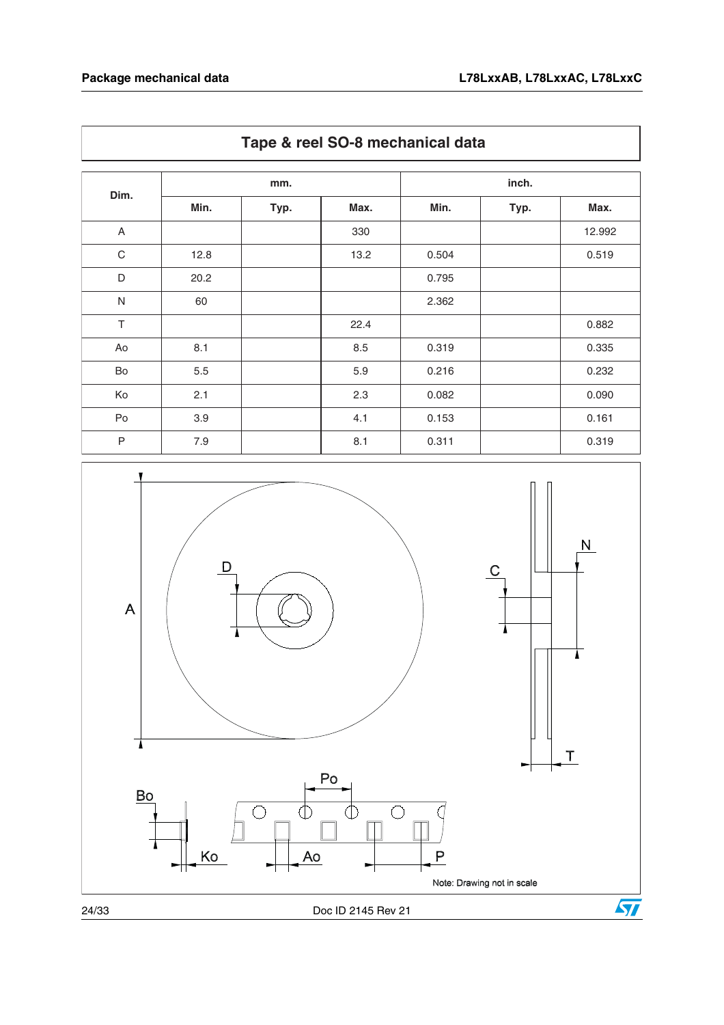| Dim.           | mm.  |      |      | inch. |      |        |
|----------------|------|------|------|-------|------|--------|
|                | Min. | Typ. | Max. | Min.  | Typ. | Max.   |
| $\overline{A}$ |      |      | 330  |       |      | 12.992 |
| $\mathbf C$    | 12.8 |      | 13.2 | 0.504 |      | 0.519  |
| D              | 20.2 |      |      | 0.795 |      |        |
| $\mathsf{N}$   | 60   |      |      | 2.362 |      |        |
| $\top$         |      |      | 22.4 |       |      | 0.882  |
| Ao             | 8.1  |      | 8.5  | 0.319 |      | 0.335  |
| Bo             | 5.5  |      | 5.9  | 0.216 |      | 0.232  |
| Ko             | 2.1  |      | 2.3  | 0.082 |      | 0.090  |
| Po             | 3.9  |      | 4.1  | 0.153 |      | 0.161  |
| $\mathsf{P}$   | 7.9  |      | 8.1  | 0.311 |      | 0.319  |



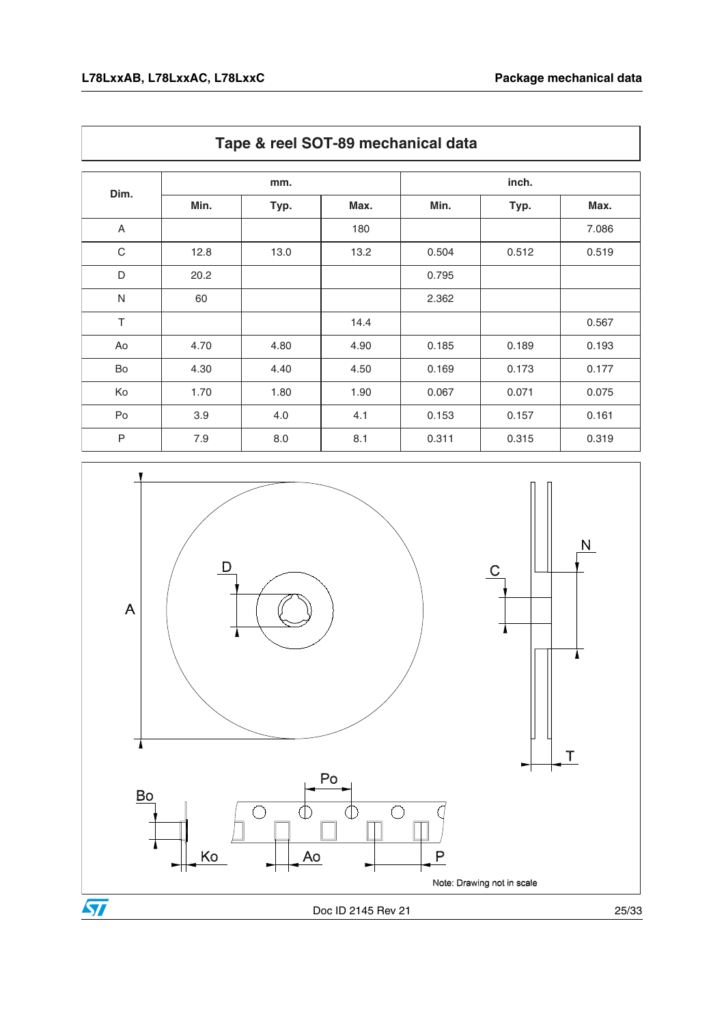|                |      | mm.  |      |       | inch. |       |  |
|----------------|------|------|------|-------|-------|-------|--|
| Dim.           | Min. | Typ. | Max. | Min.  | Typ.  | Max.  |  |
| $\overline{A}$ |      |      | 180  |       |       | 7.086 |  |
| $\mathbf C$    | 12.8 | 13.0 | 13.2 | 0.504 | 0.512 | 0.519 |  |
| D              | 20.2 |      |      | 0.795 |       |       |  |
| $\mathsf{N}$   | 60   |      |      | 2.362 |       |       |  |
| T              |      |      | 14.4 |       |       | 0.567 |  |
| Ao             | 4.70 | 4.80 | 4.90 | 0.185 | 0.189 | 0.193 |  |
| Bo             | 4.30 | 4.40 | 4.50 | 0.169 | 0.173 | 0.177 |  |
| Ko             | 1.70 | 1.80 | 1.90 | 0.067 | 0.071 | 0.075 |  |
| Po             | 3.9  | 4.0  | 4.1  | 0.153 | 0.157 | 0.161 |  |
| $\mathsf{P}$   | 7.9  | 8.0  | 8.1  | 0.311 | 0.315 | 0.319 |  |



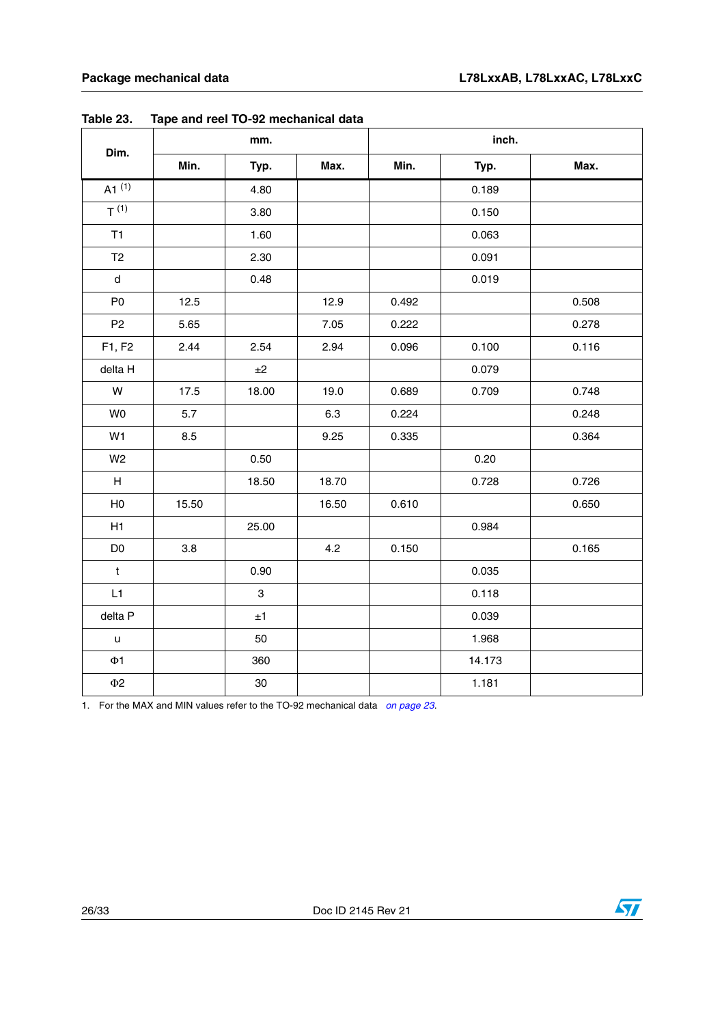|                           |       | mm.         |       |       | inch.  |       |  |  |
|---------------------------|-------|-------------|-------|-------|--------|-------|--|--|
| Dim.                      | Min.  | Typ.        | Max.  | Min.  | Typ.   | Max.  |  |  |
| $A1^{(1)}$                |       | 4.80        |       |       | 0.189  |       |  |  |
| $T^{(1)}$                 |       | 3.80        |       |       | 0.150  |       |  |  |
| T1                        |       | 1.60        |       |       | 0.063  |       |  |  |
| T <sub>2</sub>            |       | 2.30        |       |       | 0.091  |       |  |  |
| d                         |       | 0.48        |       |       | 0.019  |       |  |  |
| P <sub>0</sub>            | 12.5  |             | 12.9  | 0.492 |        | 0.508 |  |  |
| P <sub>2</sub>            | 5.65  |             | 7.05  | 0.222 |        | 0.278 |  |  |
| F1, F2                    | 2.44  | 2.54        | 2.94  | 0.096 | 0.100  | 0.116 |  |  |
| delta H                   |       | ±2          |       |       | 0.079  |       |  |  |
| W                         | 17.5  | 18.00       | 19.0  | 0.689 | 0.709  | 0.748 |  |  |
| W <sub>0</sub>            | 5.7   |             | 6.3   | 0.224 |        | 0.248 |  |  |
| W1                        | 8.5   |             | 9.25  | 0.335 |        | 0.364 |  |  |
| W <sub>2</sub>            |       | 0.50        |       |       | 0.20   |       |  |  |
| $\boldsymbol{\mathsf{H}}$ |       | 18.50       | 18.70 |       | 0.728  | 0.726 |  |  |
| H <sub>0</sub>            | 15.50 |             | 16.50 | 0.610 |        | 0.650 |  |  |
| H1                        |       | 25.00       |       |       | 0.984  |       |  |  |
| D <sub>0</sub>            | 3.8   |             | 4.2   | 0.150 |        | 0.165 |  |  |
| $\mathsf t$               |       | 0.90        |       |       | 0.035  |       |  |  |
| L1                        |       | $\,$ 3 $\,$ |       |       | 0.118  |       |  |  |
| delta P                   |       | ±1          |       |       | 0.039  |       |  |  |
| u                         |       | 50          |       |       | 1.968  |       |  |  |
| $\Phi$ 1                  |       | 360         |       |       | 14.173 |       |  |  |
| $\Phi2$                   |       | $30\,$      |       |       | 1.181  |       |  |  |

<span id="page-25-0"></span>**Table 23. Tape and reel TO-92 mechanical data**

1. For the MAX and MIN values refer to the TO-92 mechanical data on page 23.

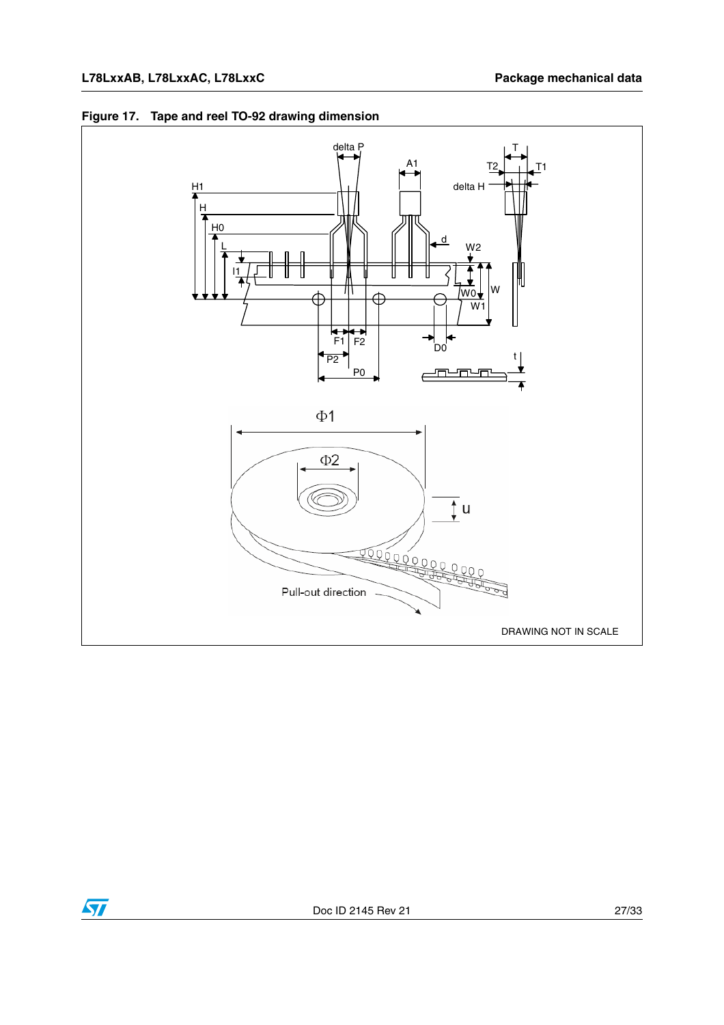

#### **Figure 17. Tape and reel TO-92 drawing dimension**

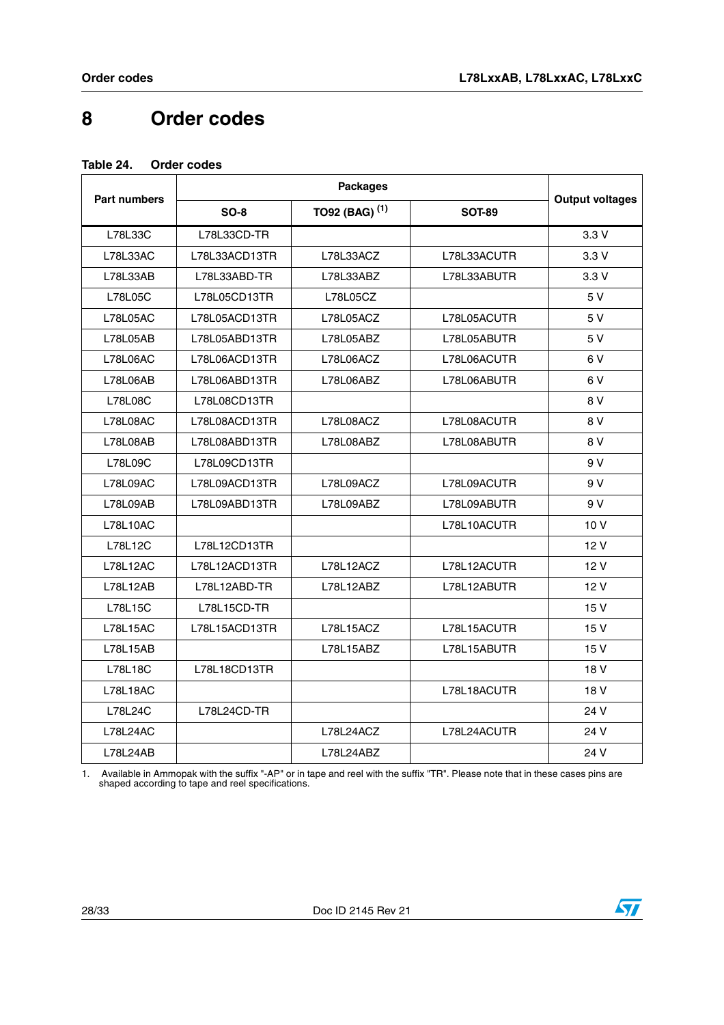## <span id="page-27-0"></span>**8 Order codes**

#### <span id="page-27-1"></span>**Table 24. Order codes**

| <b>Part numbers</b> | $SO-8$        | TO92 (BAG) <sup>(1)</sup> | <b>SOT-89</b> | <b>Output voltages</b> |
|---------------------|---------------|---------------------------|---------------|------------------------|
| L78L33C             | L78L33CD-TR   |                           |               | 3.3V                   |
| L78L33AC            | L78L33ACD13TR | L78L33ACZ                 | L78L33ACUTR   | 3.3V                   |
| L78L33AB            | L78L33ABD-TR  | L78L33ABZ                 | L78L33ABUTR   | 3.3V                   |
| L78L05C             | L78L05CD13TR  | L78L05CZ                  |               | 5 V                    |
| L78L05AC            | L78L05ACD13TR | L78L05ACZ                 | L78L05ACUTR   | 5 V                    |
| L78L05AB            | L78L05ABD13TR | L78L05ABZ                 | L78L05ABUTR   | 5 V                    |
| L78L06AC            | L78L06ACD13TR | L78L06ACZ                 | L78L06ACUTR   | 6V                     |
| L78L06AB            | L78L06ABD13TR | L78L06ABZ                 | L78L06ABUTR   | 6V                     |
| <b>L78L08C</b>      | L78L08CD13TR  |                           |               | 8 V                    |
| <b>L78L08AC</b>     | L78L08ACD13TR | L78L08ACZ                 | L78L08ACUTR   | 8 V                    |
| L78L08AB            | L78L08ABD13TR | L78L08ABZ                 | L78L08ABUTR   | 8 V                    |
| L78L09C             | L78L09CD13TR  |                           |               | 9 V                    |
| L78L09AC            | L78L09ACD13TR | L78L09ACZ                 | L78L09ACUTR   | 9 V                    |
| L78L09AB            | L78L09ABD13TR | L78L09ABZ                 | L78L09ABUTR   | 9 V                    |
| <b>L78L10AC</b>     |               |                           | L78L10ACUTR   | 10V                    |
| L78L12C             | L78L12CD13TR  |                           |               | 12V                    |
| <b>L78L12AC</b>     | L78L12ACD13TR | L78L12ACZ                 | L78L12ACUTR   | 12 V                   |
| L78L12AB            | L78L12ABD-TR  | L78L12ABZ                 | L78L12ABUTR   | 12V                    |
| L78L15C             | L78L15CD-TR   |                           |               | 15 V                   |
| <b>L78L15AC</b>     | L78L15ACD13TR | L78L15ACZ                 | L78L15ACUTR   | 15 V                   |
| L78L15AB            |               | L78L15ABZ                 | L78L15ABUTR   | 15 V                   |
| <b>L78L18C</b>      | L78L18CD13TR  |                           |               | 18 V                   |
| <b>L78L18AC</b>     |               |                           | L78L18ACUTR   | 18 V                   |
| L78L24C             | L78L24CD-TR   |                           |               | 24 V                   |
| L78L24AC            |               | L78L24ACZ                 | L78L24ACUTR   | 24 V                   |
| L78L24AB            |               | L78L24ABZ                 |               | 24 V                   |

1. Available in Ammopak with the suffix "-AP" or in tape and reel with the suffix "TR". Please note that in these cases pins are shaped according to tape and reel specifications.

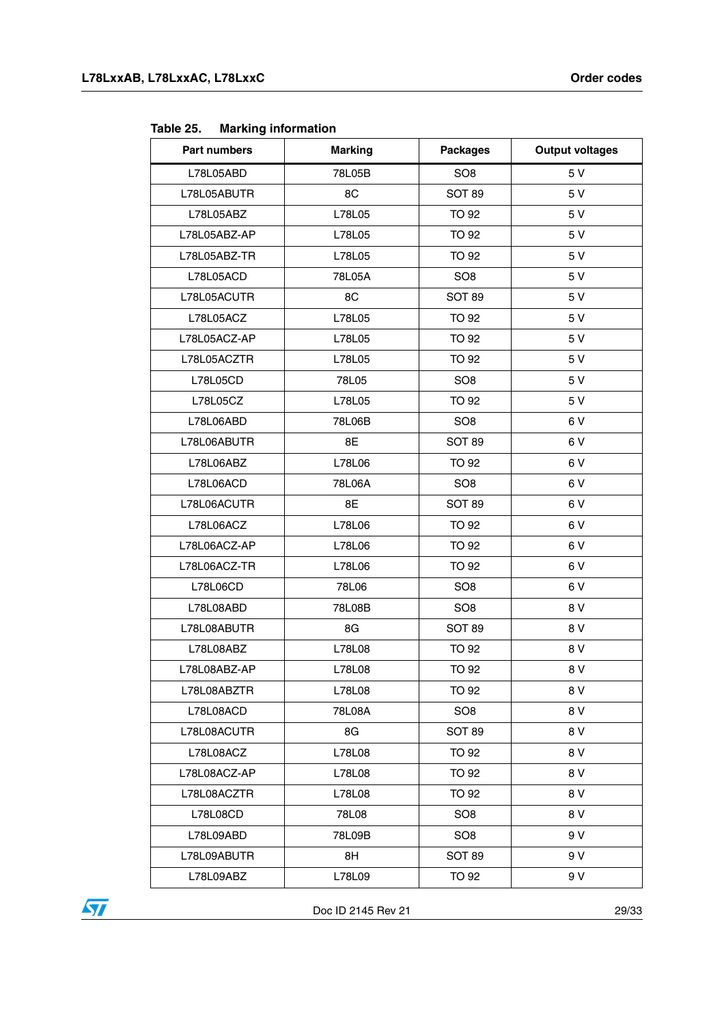<span id="page-28-0"></span>

| <b>Marking information</b><br>Table 25. |  |
|-----------------------------------------|--|
|-----------------------------------------|--|

| Part numbers | <b>Marking</b> | <b>Packages</b> | <b>Output voltages</b> |
|--------------|----------------|-----------------|------------------------|
| L78L05ABD    | 78L05B         | SO <sub>8</sub> | 5 V                    |
| L78L05ABUTR  | 8C             | <b>SOT 89</b>   | 5 V                    |
| L78L05ABZ    | L78L05         | <b>TO 92</b>    | 5 V                    |
| L78L05ABZ-AP | L78L05         | TO 92           | 5 V                    |
| L78L05ABZ-TR | L78L05         | <b>TO 92</b>    | 5 V                    |
| L78L05ACD    | 78L05A         | SO <sub>8</sub> | 5 V                    |
| L78L05ACUTR  | 8C             | <b>SOT 89</b>   | 5 V                    |
| L78L05ACZ    | L78L05         | TO 92           | 5 V                    |
| L78L05ACZ-AP | L78L05         | <b>TO 92</b>    | 5 V                    |
| L78L05ACZTR  | L78L05         | <b>TO 92</b>    | 5 V                    |
| L78L05CD     | 78L05          | SO <sub>8</sub> | 5 V                    |
| L78L05CZ     | L78L05         | <b>TO 92</b>    | 5 V                    |
| L78L06ABD    | 78L06B         | SO <sub>8</sub> | 6V                     |
| L78L06ABUTR  | 8E             | <b>SOT 89</b>   | 6 V                    |
| L78L06ABZ    | L78L06         | <b>TO 92</b>    | 6V                     |
| L78L06ACD    | 78L06A         | SO <sub>8</sub> | 6 V                    |
| L78L06ACUTR  | 8E             | SOT 89          | 6 V                    |
| L78L06ACZ    | L78L06         | <b>TO 92</b>    | 6V                     |
| L78L06ACZ-AP | L78L06         | TO 92           | 6V                     |
| L78L06ACZ-TR | L78L06         | TO 92           | 6V                     |
| L78L06CD     | 78L06          | SO <sub>8</sub> | 6V                     |
| L78L08ABD    | 78L08B         | SO <sub>8</sub> | 8 V                    |
| L78L08ABUTR  | 8G             | <b>SOT 89</b>   | 8 V                    |
| L78L08ABZ    | L78L08         | <b>TO 92</b>    | 8 V                    |
| L78L08ABZ-AP | L78L08         | TO 92           | 8 V                    |
| L78L08ABZTR  | L78L08         | <b>TO 92</b>    | 8 V                    |
| L78L08ACD    | 78L08A         | SO <sub>8</sub> | 8 V                    |
| L78L08ACUTR  | 8G             | <b>SOT 89</b>   | 8 V                    |
| L78L08ACZ    | L78L08         | TO 92           | 8 V                    |
| L78L08ACZ-AP | L78L08         | <b>TO 92</b>    | 8 V                    |
| L78L08ACZTR  | L78L08         | TO 92           | 8 V                    |
| L78L08CD     | 78L08          | SO <sub>8</sub> | 8 V                    |
| L78L09ABD    | 78L09B         | SO <sub>8</sub> | 9 V                    |
| L78L09ABUTR  | 8H             | <b>SOT 89</b>   | 9 V                    |
| L78L09ABZ    | L78L09         | <b>TO 92</b>    | 9 V                    |



Doc ID 2145 Rev 21 29/33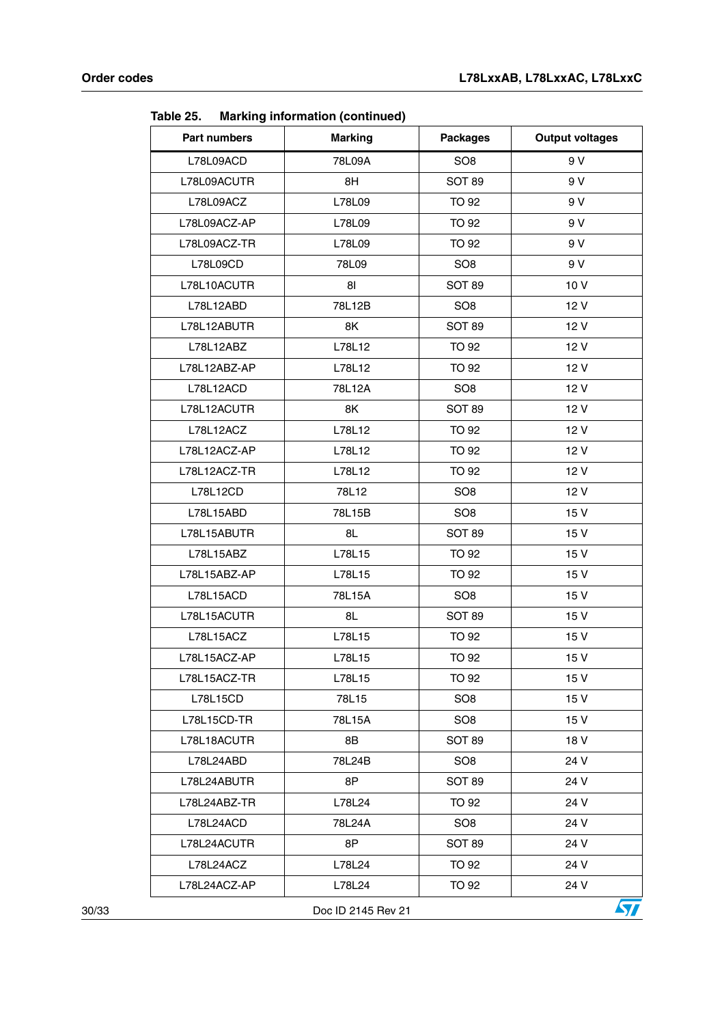| Part numbers    | <b>Marking</b>     | <b>Packages</b> | <b>Output voltages</b> |
|-----------------|--------------------|-----------------|------------------------|
| L78L09ACD       | 78L09A             | SO <sub>8</sub> | 9 V                    |
| L78L09ACUTR     | 8H                 | <b>SOT 89</b>   | 9 V                    |
| L78L09ACZ       | L78L09             | <b>TO 92</b>    | 9 V                    |
| L78L09ACZ-AP    | L78L09             | <b>TO 92</b>    | 9 V                    |
| L78L09ACZ-TR    | L78L09             | TO 92           | 9 V                    |
| L78L09CD        | 78L09              | SO <sub>8</sub> | 9 V                    |
| L78L10ACUTR     | 81                 | <b>SOT 89</b>   | 10V                    |
| L78L12ABD       | 78L12B             | SO <sub>8</sub> | 12 V                   |
| L78L12ABUTR     | 8K                 | <b>SOT 89</b>   | 12V                    |
| L78L12ABZ       | L78L12             | TO 92           | 12 V                   |
| L78L12ABZ-AP    | L78L12             | <b>TO 92</b>    | 12 V                   |
| L78L12ACD       | 78L12A             | SO <sub>8</sub> | 12 V                   |
| L78L12ACUTR     | 8K                 | <b>SOT 89</b>   | 12 V                   |
| L78L12ACZ       | L78L12             | <b>TO 92</b>    | 12 V                   |
| L78L12ACZ-AP    | L78L12             | <b>TO 92</b>    | 12V                    |
| L78L12ACZ-TR    | L78L12             | <b>TO 92</b>    | 12V                    |
| <b>L78L12CD</b> | 78L12              | SO <sub>8</sub> | 12 V                   |
| L78L15ABD       | 78L15B             | SO <sub>8</sub> | 15 V                   |
| L78L15ABUTR     | 8L                 | <b>SOT 89</b>   | 15 V                   |
| L78L15ABZ       | L78L15             | <b>TO 92</b>    | 15V                    |
| L78L15ABZ-AP    | L78L15             | <b>TO 92</b>    | 15V                    |
| L78L15ACD       | 78L15A             | SO <sub>8</sub> | 15 V                   |
| L78L15ACUTR     | 8L                 | <b>SOT 89</b>   | 15 V                   |
| L78L15ACZ       | L78L15             | <b>TO 92</b>    | 15V                    |
| L78L15ACZ-AP    | L78L15             | <b>TO 92</b>    | 15 V                   |
| L78L15ACZ-TR    | L78L15             | <b>TO 92</b>    | 15 V                   |
| L78L15CD        | 78L15              | SO <sub>8</sub> | 15 V                   |
| L78L15CD-TR     | 78L15A             | SO <sub>8</sub> | 15 V                   |
| L78L18ACUTR     | 8Β                 | SOT 89          | 18 V                   |
| L78L24ABD       | 78L24B             | SO <sub>8</sub> | 24 V                   |
| L78L24ABUTR     | 8P                 | <b>SOT 89</b>   | 24 V                   |
| L78L24ABZ-TR    | L78L24             | TO 92           | 24 V                   |
| L78L24ACD       | 78L24A             | SO <sub>8</sub> | 24 V                   |
| L78L24ACUTR     | 8P                 | SOT 89          | 24 V                   |
| L78L24ACZ       | L78L24             | TO 92           | 24 V                   |
| L78L24ACZ-AP    | L78L24             | TO 92           | 24 V                   |
|                 | Doc ID 2145 Rev 21 |                 | 57                     |

**Table 25. Marking information (continued)**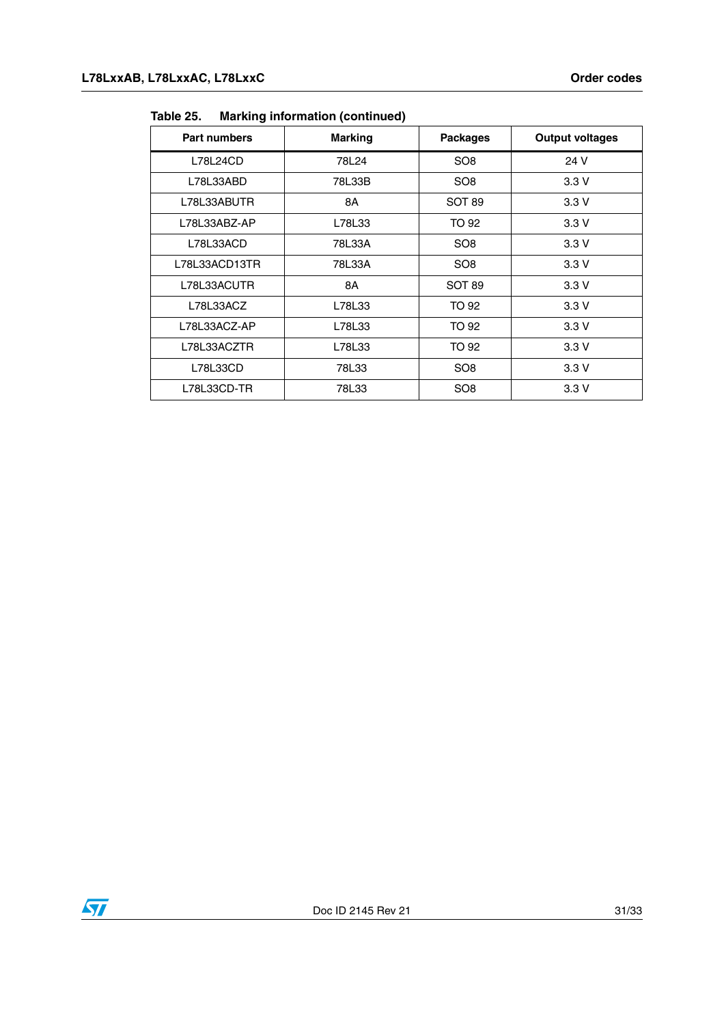| <b>Part numbers</b> | <b>Marking</b> | <b>Packages</b> | <b>Output voltages</b> |
|---------------------|----------------|-----------------|------------------------|
| L78L24CD            | 78L24          | SO <sub>8</sub> | 24 V                   |
| L78L33ABD           | 78L33B         | SO <sub>8</sub> | 3.3V                   |
| L78L33ABUTR         | 8A             | <b>SOT 89</b>   | 3.3V                   |
| L78L33ABZ-AP        | L78L33         | TO 92           | 3.3V                   |
| L78L33ACD           | 78L33A         | SO <sub>8</sub> | 3.3V                   |
| L78L33ACD13TR       | 78L33A         | SO <sub>8</sub> | 3.3V                   |
| L78L33ACUTR         | 8A             | <b>SOT 89</b>   | 3.3V                   |
| L78L33ACZ           | L78L33         | TO 92           | 3.3V                   |
| L78L33ACZ-AP        | L78L33         | TO 92           | 3.3V                   |
| L78L33ACZTR         | L78L33         | TO 92           | 3.3V                   |
| L78L33CD            | 78L33          | SO <sub>8</sub> | 3.3V                   |
| L78L33CD-TR         | 78L33          | SO <sub>8</sub> | 3.3V                   |

**Table 25. Marking information (continued)**

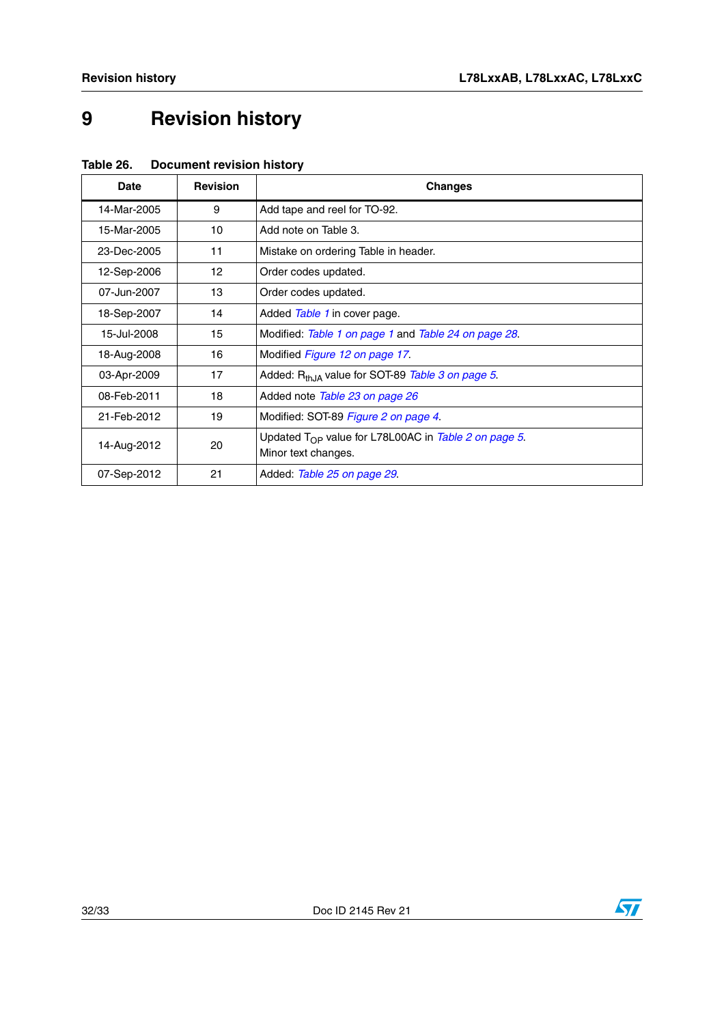# <span id="page-31-0"></span>**9 Revision history**

| Table 26. | <b>Document revision history</b> |  |
|-----------|----------------------------------|--|
|           |                                  |  |

| Date        | <b>Revision</b> | <b>Changes</b>                                                  |
|-------------|-----------------|-----------------------------------------------------------------|
| 14-Mar-2005 | 9               | Add tape and reel for TO-92.                                    |
| 15-Mar-2005 | 10              | Add note on Table 3.                                            |
| 23-Dec-2005 | 11              | Mistake on ordering Table in header.                            |
| 12-Sep-2006 | 12              | Order codes updated.                                            |
| 07-Jun-2007 | 13              | Order codes updated.                                            |
| 18-Sep-2007 | 14              | Added Table 1 in cover page.                                    |
| 15-Jul-2008 | 15              | Modified: Table 1 on page 1 and Table 24 on page 28.            |
| 18-Aug-2008 | 16              | Modified <i>Figure 12 on page 17</i> .                          |
| 03-Apr-2009 | 17              | Added: R <sub>th.IA</sub> value for SOT-89 Table 3 on page 5.   |
| 08-Feb-2011 | 18              | Added note Table 23 on page 26                                  |
| 21-Feb-2012 | 19              | Modified: SOT-89 Figure 2 on page 4.                            |
| 14-Aug-2012 | 20              | Updated $T_{\Omega P}$ value for L78L00AC in Table 2 on page 5. |
|             |                 | Minor text changes.                                             |
| 07-Sep-2012 | 21              | Added: Table 25 on page 29.                                     |